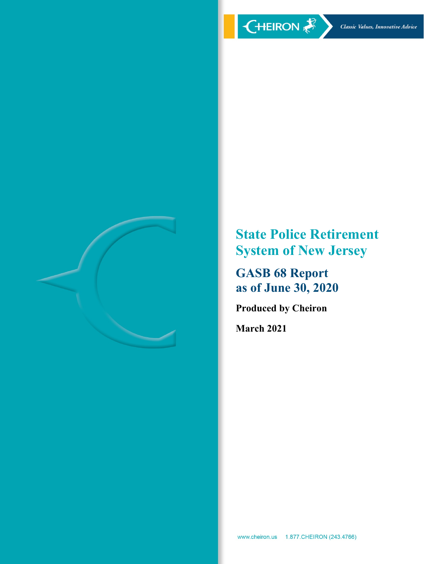

**State Police Retirement System of New Jersey** 

**GASB 68 Report as of June 30, 2020** 

**Produced by Cheiron** 

**March 2021**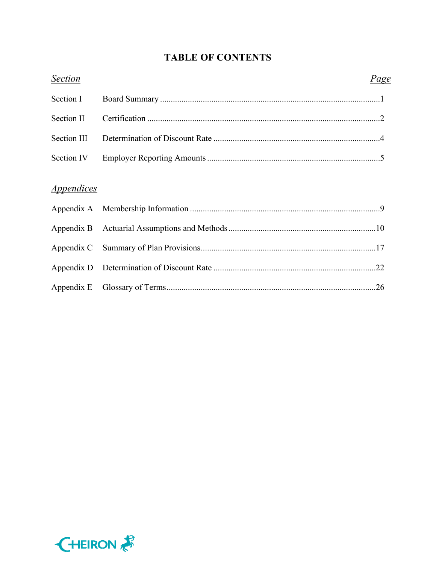# **TABLE OF CONTENTS**

| <b>Section</b>                  | <u>Page</u> |  |
|---------------------------------|-------------|--|
| Section I                       |             |  |
| Section II                      |             |  |
| Section III                     |             |  |
| Section IV                      |             |  |
| <i><u><b>Appendices</b></u></i> |             |  |
|                                 |             |  |
|                                 |             |  |
|                                 |             |  |
|                                 |             |  |
|                                 |             |  |

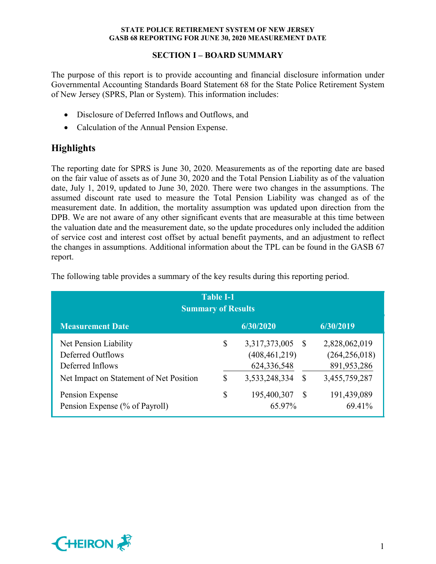# **SECTION I – BOARD SUMMARY**

The purpose of this report is to provide accounting and financial disclosure information under Governmental Accounting Standards Board Statement 68 for the State Police Retirement System of New Jersey (SPRS, Plan or System). This information includes:

- Disclosure of Deferred Inflows and Outflows, and
- Calculation of the Annual Pension Expense.

# **Highlights**

The reporting date for SPRS is June 30, 2020. Measurements as of the reporting date are based on the fair value of assets as of June 30, 2020 and the Total Pension Liability as of the valuation date, July 1, 2019, updated to June 30, 2020. There were two changes in the assumptions. The assumed discount rate used to measure the Total Pension Liability was changed as of the measurement date. In addition, the mortality assumption was updated upon direction from the DPB. We are not aware of any other significant events that are measurable at this time between the valuation date and the measurement date, so the update procedures only included the addition of service cost and interest cost offset by actual benefit payments, and an adjustment to reflect the changes in assumptions. Additional information about the TPL can be found in the GASB 67 report.

| <b>Table I-1</b><br><b>Summary of Results</b>                  |    |                                                 |              |                                                 |  |  |  |  |  |  |
|----------------------------------------------------------------|----|-------------------------------------------------|--------------|-------------------------------------------------|--|--|--|--|--|--|
| <b>Measurement Date</b>                                        |    | 6/30/2020                                       |              | 6/30/2019                                       |  |  |  |  |  |  |
| Net Pension Liability<br>Deferred Outflows<br>Deferred Inflows | \$ | 3,317,373,005<br>(408, 461, 219)<br>624,336,548 | -S           | 2,828,062,019<br>(264, 256, 018)<br>891,953,286 |  |  |  |  |  |  |
| Net Impact on Statement of Net Position                        | S  | 3,533,248,334                                   | S            | 3,455,759,287                                   |  |  |  |  |  |  |
| Pension Expense<br>Pension Expense (% of Payroll)              | \$ | 195,400,307<br>65.97%                           | <sup>S</sup> | 191,439,089<br>69.41%                           |  |  |  |  |  |  |

The following table provides a summary of the key results during this reporting period.

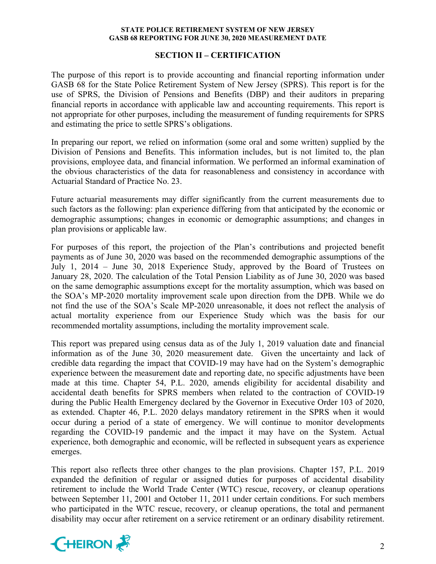# **SECTION II – CERTIFICATION**

The purpose of this report is to provide accounting and financial reporting information under GASB 68 for the State Police Retirement System of New Jersey (SPRS). This report is for the use of SPRS, the Division of Pensions and Benefits (DBP) and their auditors in preparing financial reports in accordance with applicable law and accounting requirements. This report is not appropriate for other purposes, including the measurement of funding requirements for SPRS and estimating the price to settle SPRS's obligations.

In preparing our report, we relied on information (some oral and some written) supplied by the Division of Pensions and Benefits. This information includes, but is not limited to, the plan provisions, employee data, and financial information. We performed an informal examination of the obvious characteristics of the data for reasonableness and consistency in accordance with Actuarial Standard of Practice No. 23.

Future actuarial measurements may differ significantly from the current measurements due to such factors as the following: plan experience differing from that anticipated by the economic or demographic assumptions; changes in economic or demographic assumptions; and changes in plan provisions or applicable law.

For purposes of this report, the projection of the Plan's contributions and projected benefit payments as of June 30, 2020 was based on the recommended demographic assumptions of the July 1, 2014 – June 30, 2018 Experience Study, approved by the Board of Trustees on January 28, 2020. The calculation of the Total Pension Liability as of June 30, 2020 was based on the same demographic assumptions except for the mortality assumption, which was based on the SOA's MP-2020 mortality improvement scale upon direction from the DPB. While we do not find the use of the SOA's Scale MP-2020 unreasonable, it does not reflect the analysis of actual mortality experience from our Experience Study which was the basis for our recommended mortality assumptions, including the mortality improvement scale.

This report was prepared using census data as of the July 1, 2019 valuation date and financial information as of the June 30, 2020 measurement date. Given the uncertainty and lack of credible data regarding the impact that COVID-19 may have had on the System's demographic experience between the measurement date and reporting date, no specific adjustments have been made at this time. Chapter 54, P.L. 2020, amends eligibility for accidental disability and accidental death benefits for SPRS members when related to the contraction of COVID-19 during the Public Health Emergency declared by the Governor in Executive Order 103 of 2020, as extended. Chapter 46, P.L. 2020 delays mandatory retirement in the SPRS when it would occur during a period of a state of emergency. We will continue to monitor developments regarding the COVID-19 pandemic and the impact it may have on the System. Actual experience, both demographic and economic, will be reflected in subsequent years as experience emerges.

This report also reflects three other changes to the plan provisions. Chapter 157, P.L. 2019 expanded the definition of regular or assigned duties for purposes of accidental disability retirement to include the World Trade Center (WTC) rescue, recovery, or cleanup operations between September 11, 2001 and October 11, 2011 under certain conditions. For such members who participated in the WTC rescue, recovery, or cleanup operations, the total and permanent disability may occur after retirement on a service retirement or an ordinary disability retirement.

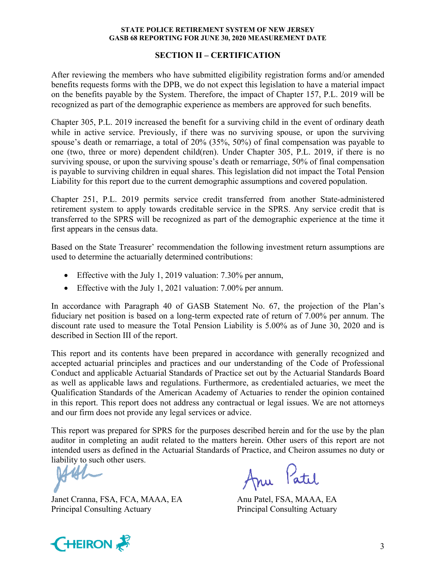### **SECTION II – CERTIFICATION**

After reviewing the members who have submitted eligibility registration forms and/or amended benefits requests forms with the DPB, we do not expect this legislation to have a material impact on the benefits payable by the System. Therefore, the impact of Chapter 157, P.L. 2019 will be recognized as part of the demographic experience as members are approved for such benefits.

Chapter 305, P.L. 2019 increased the benefit for a surviving child in the event of ordinary death while in active service. Previously, if there was no surviving spouse, or upon the surviving spouse's death or remarriage, a total of 20% (35%, 50%) of final compensation was payable to one (two, three or more) dependent child(ren). Under Chapter 305, P.L. 2019, if there is no surviving spouse, or upon the surviving spouse's death or remarriage, 50% of final compensation is payable to surviving children in equal shares. This legislation did not impact the Total Pension Liability for this report due to the current demographic assumptions and covered population.

Chapter 251, P.L. 2019 permits service credit transferred from another State-administered retirement system to apply towards creditable service in the SPRS. Any service credit that is transferred to the SPRS will be recognized as part of the demographic experience at the time it first appears in the census data.

Based on the State Treasurer' recommendation the following investment return assumptions are used to determine the actuarially determined contributions:

- Effective with the July 1, 2019 valuation: 7.30% per annum,
- Effective with the July 1, 2021 valuation: 7.00% per annum.

In accordance with Paragraph 40 of GASB Statement No. 67, the projection of the Plan's fiduciary net position is based on a long-term expected rate of return of 7.00% per annum. The discount rate used to measure the Total Pension Liability is 5.00% as of June 30, 2020 and is described in Section III of the report.

This report and its contents have been prepared in accordance with generally recognized and accepted actuarial principles and practices and our understanding of the Code of Professional Conduct and applicable Actuarial Standards of Practice set out by the Actuarial Standards Board as well as applicable laws and regulations. Furthermore, as credentialed actuaries, we meet the Qualification Standards of the American Academy of Actuaries to render the opinion contained in this report. This report does not address any contractual or legal issues. We are not attorneys and our firm does not provide any legal services or advice.

This report was prepared for SPRS for the purposes described herein and for the use by the plan auditor in completing an audit related to the matters herein. Other users of this report are not intended users as defined in the Actuarial Standards of Practice, and Cheiron assumes no duty or liability to such other users.

AM.

Janet Cranna, FSA, FCA, MAAA, EA Anu Patel, FSA, MAAA, EA Principal Consulting Actuary Principal Consulting Actuary

Anu Patil

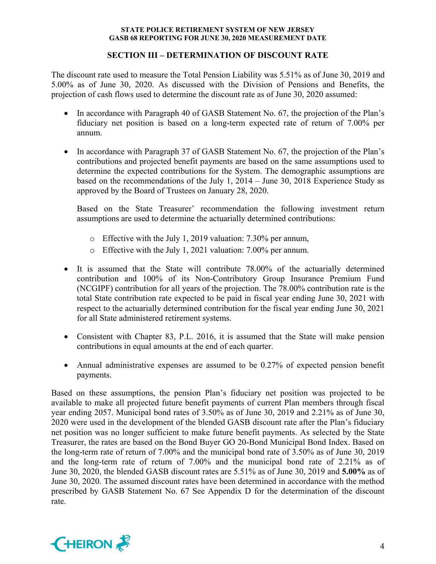# **SECTION III – DETERMINATION OF DISCOUNT RATE**

The discount rate used to measure the Total Pension Liability was 5.51% as of June 30, 2019 and 5.00% as of June 30, 2020. As discussed with the Division of Pensions and Benefits, the projection of cash flows used to determine the discount rate as of June 30, 2020 assumed:

- In accordance with Paragraph 40 of GASB Statement No. 67, the projection of the Plan's fiduciary net position is based on a long-term expected rate of return of 7.00% per annum.
- In accordance with Paragraph 37 of GASB Statement No. 67, the projection of the Plan's contributions and projected benefit payments are based on the same assumptions used to determine the expected contributions for the System. The demographic assumptions are based on the recommendations of the July 1, 2014 – June 30, 2018 Experience Study as approved by the Board of Trustees on January 28, 2020.

Based on the State Treasurer' recommendation the following investment return assumptions are used to determine the actuarially determined contributions:

- o Effective with the July 1, 2019 valuation: 7.30% per annum,
- o Effective with the July 1, 2021 valuation: 7.00% per annum.
- It is assumed that the State will contribute 78.00% of the actuarially determined contribution and 100% of its Non-Contributory Group Insurance Premium Fund (NCGIPF) contribution for all years of the projection. The 78.00% contribution rate is the total State contribution rate expected to be paid in fiscal year ending June 30, 2021 with respect to the actuarially determined contribution for the fiscal year ending June 30, 2021 for all State administered retirement systems.
- Consistent with Chapter 83, P.L. 2016, it is assumed that the State will make pension contributions in equal amounts at the end of each quarter.
- Annual administrative expenses are assumed to be 0.27% of expected pension benefit payments.

Based on these assumptions, the pension Plan's fiduciary net position was projected to be available to make all projected future benefit payments of current Plan members through fiscal year ending 2057. Municipal bond rates of 3.50% as of June 30, 2019 and 2.21% as of June 30, 2020 were used in the development of the blended GASB discount rate after the Plan's fiduciary net position was no longer sufficient to make future benefit payments. As selected by the State Treasurer, the rates are based on the Bond Buyer GO 20-Bond Municipal Bond Index. Based on the long-term rate of return of 7.00% and the municipal bond rate of 3.50% as of June 30, 2019 and the long-term rate of return of 7.00% and the municipal bond rate of 2.21% as of June 30, 2020, the blended GASB discount rates are 5.51% as of June 30, 2019 and **5.00%** as of June 30, 2020. The assumed discount rates have been determined in accordance with the method prescribed by GASB Statement No. 67 See Appendix D for the determination of the discount rate.

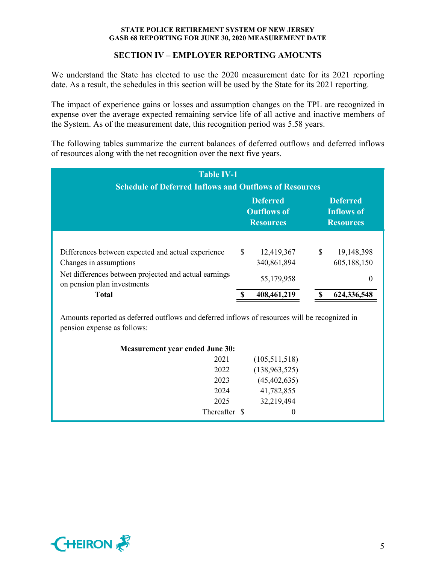# **SECTION IV – EMPLOYER REPORTING AMOUNTS**

We understand the State has elected to use the 2020 measurement date for its 2021 reporting date. As a result, the schedules in this section will be used by the State for its 2021 reporting.

The impact of experience gains or losses and assumption changes on the TPL are recognized in expense over the average expected remaining service life of all active and inactive members of the System. As of the measurement date, this recognition period was 5.58 years.

The following tables summarize the current balances of deferred outflows and deferred inflows of resources along with the net recognition over the next five years.

| <b>Schedule of Deferred Inflows and Outflows of Resources</b> |             |                                                          |
|---------------------------------------------------------------|-------------|----------------------------------------------------------|
| <b>Deferred</b><br><b>Outflows of</b><br><b>Resources</b>     |             | <b>Deferred</b><br><b>Inflows of</b><br><b>Resources</b> |
| 12,419,367                                                    | \$          | 19,148,398                                               |
| 55,179,958                                                    |             | 605,188,150<br>0                                         |
| 408,461,219                                                   |             | 624,336,548                                              |
|                                                               | 340,861,894 |                                                          |

pension expense as follows:

| <b>Measurement year ended June 30:</b> |     |  |
|----------------------------------------|-----|--|
|                                        | 201 |  |

| 2021          | (105, 511, 518) |
|---------------|-----------------|
| 2022          | (138, 963, 525) |
| 2023          | (45, 402, 635)  |
| 2024          | 41,782,855      |
| 2025          | 32,219,494      |
| Thereafter \$ | $\theta$        |

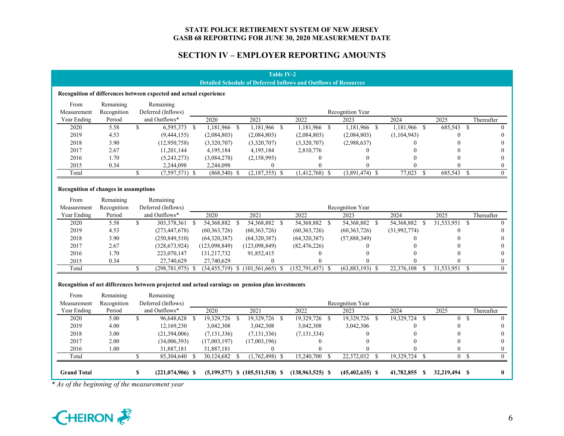# **SECTION IV – EMPLOYER REPORTING AMOUNTS**

#### **Table IV-2 Detailed Schedule of Deferred Inflows and Outflows of Resources**

#### **Recognition of differences between expected and actual experience**

| From        | Remaining   | Remaining          |               |             |               |                  |               |         |            |
|-------------|-------------|--------------------|---------------|-------------|---------------|------------------|---------------|---------|------------|
| Measurement | Recognition | Deferred (Inflows) |               |             |               | Recognition Year |               |         |            |
| Year Ending | Period      | and Outflows*      | 2020          | 2021        | 2022          | 2023             | 2024          | 2025    | Thereafter |
| 2020        | 5.58        | 6,595,373          | 181,966.      | ,181,966    | 1,181,966     | 1,181,966        | 1,181,966 \$  | 685,543 |            |
| 2019        | 4.53        | (9,444,155)        | (2,084,803)   | (2,084,803) | (2,084,803)   | (2,084,803)      | (1, 104, 943) |         |            |
| 2018        | 3.90        | (12,950,758)       | (3,320,707)   | (3,320,707) | (3,320,707)   | (2,988,637)      |               |         | $\left($   |
| 2017        | 2.67        | 11,201,144         | 4,195,184     | 4,195,184   | 2,810,776     |                  |               |         |            |
| 2016        | 1.70        | (5,243,273)        | (3,084,278)   | (2,158,995) |               |                  |               |         |            |
| 2015        | 0.34        | 2,244,098          | 2,244,098     |             |               |                  |               |         |            |
| Total       |             | (7,597,571) \$     | $(868,540)$ : | (2,187,355) | (1, 412, 768) | $(3,891,474)$ \$ | 77,023        | 685,543 |            |

#### **Recognition of changes in assumptions**

| From        | Remaining   | Remaining            |                |                                   |                      |                   |              |            |                  |
|-------------|-------------|----------------------|----------------|-----------------------------------|----------------------|-------------------|--------------|------------|------------------|
| Measurement | Recognition | Deferred (Inflows)   |                |                                   |                      | Recognition Year  |              |            |                  |
| Year Ending | Period      | and Outflows*        | 2020           | 2021                              | 2022                 | 2023              | 2024         | 2025       | Thereafter       |
| 2020        | 5.58        | 303,378,361          | 54,368,882     | 54,368,882                        | 54,368,882           | 54,368,882        | 54,368,882   | 31,533,951 | $\left( \right)$ |
| 2019        | 4.53        | (273, 447, 678)      | (60, 363, 726) | (60, 363, 726)                    | (60, 363, 726)       | (60, 363, 726)    | (31,992,774) |            | $\theta$         |
| 2018        | 3.90        | (250, 849, 510)      | (64,320,387)   | (64,320,387)                      | (64,320,387)         | (57,888,349)      |              |            | $\theta$         |
| 2017        | 2.67        | (328, 673, 924)      | (123,098,849)  | (123,098,849)                     | (82, 476, 226)       |                   |              |            | $\theta$         |
| 2016        | 1.70        | 223,070,147          | 131,217,732    | 91,852,415                        |                      |                   |              |            | $\theta$         |
| 2015        | 0.34        | 27,740,629           | 27,740,629     |                                   |                      |                   |              |            | $\theta$         |
| Total       |             | $(298, 781, 975)$ \$ |                | $(34,455,719)$ \$ $(101,561,665)$ | $(152, 791, 457)$ \$ | $(63,883,193)$ \$ | 22,376,108   | 31,533,951 | $\left( \right)$ |

#### **Recognition of net differences between projected and actual earnings on pension plan investments**

| From               | Remaining   | Remaining          |               |                                     |                      |                     |               |               |            |
|--------------------|-------------|--------------------|---------------|-------------------------------------|----------------------|---------------------|---------------|---------------|------------|
| Measurement        | Recognition | Deferred (Inflows) |               |                                     |                      | Recognition Year    |               |               |            |
| Year Ending        | Period      | and Outflows*      | 2020          | 2021                                | 2022                 | 2023                | 2024          | 2025          | Thereafter |
| 2020               | 5.00        | 96,648,628 \$      | 19,329,726    | 19,329,726                          | 19,329,726           | 19,329,726 \$       | 19,329,724    |               |            |
| 2019               | 4.00        | 12,169,230         | 3,042,308     | 3,042,308                           | 3,042,308            | 3,042,306           |               |               |            |
| 2018               | 3.00        | (21,394,006)       | (7, 131, 336) | (7, 131, 336)                       | (7, 131, 334)        |                     |               |               | $\theta$   |
| 2017               | 2.00        | (34,006,393)       | (17,003,197)  | (17,003,196)                        |                      |                     |               |               |            |
| 2016               | 1.00        | 31,887,181         | 31,887,181    |                                     |                      |                     |               |               |            |
| Total              |             | 85,304,640         | 30,124,682    | (1,762,498)                         | 15,240,700           | 22,372,032          | 19,329,724    |               |            |
|                    |             |                    |               |                                     |                      |                     |               |               |            |
| <b>Grand Total</b> |             | $(221,074,906)$ \$ |               | $(5,199,577)$ \$ $(105,511,518)$ \$ | $(138, 963, 525)$ \$ | $(45, 402, 635)$ \$ | 41,782,855 \$ | 32,219,494 \$ |            |

*\* As of the beginning of the measurement year*

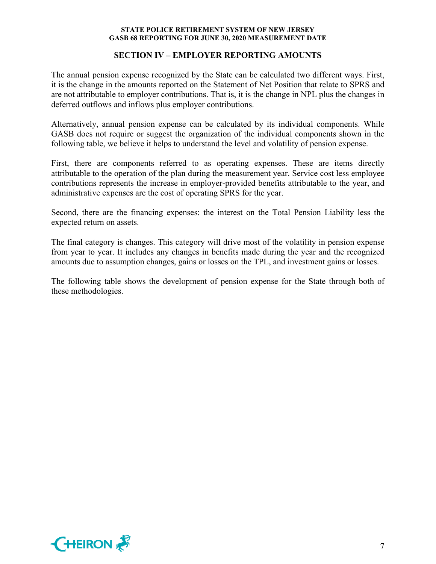# **SECTION IV – EMPLOYER REPORTING AMOUNTS**

The annual pension expense recognized by the State can be calculated two different ways. First, it is the change in the amounts reported on the Statement of Net Position that relate to SPRS and are not attributable to employer contributions. That is, it is the change in NPL plus the changes in deferred outflows and inflows plus employer contributions.

Alternatively, annual pension expense can be calculated by its individual components. While GASB does not require or suggest the organization of the individual components shown in the following table, we believe it helps to understand the level and volatility of pension expense.

First, there are components referred to as operating expenses. These are items directly attributable to the operation of the plan during the measurement year. Service cost less employee contributions represents the increase in employer-provided benefits attributable to the year, and administrative expenses are the cost of operating SPRS for the year.

Second, there are the financing expenses: the interest on the Total Pension Liability less the expected return on assets.

The final category is changes. This category will drive most of the volatility in pension expense from year to year. It includes any changes in benefits made during the year and the recognized amounts due to assumption changes, gains or losses on the TPL, and investment gains or losses.

The following table shows the development of pension expense for the State through both of these methodologies.

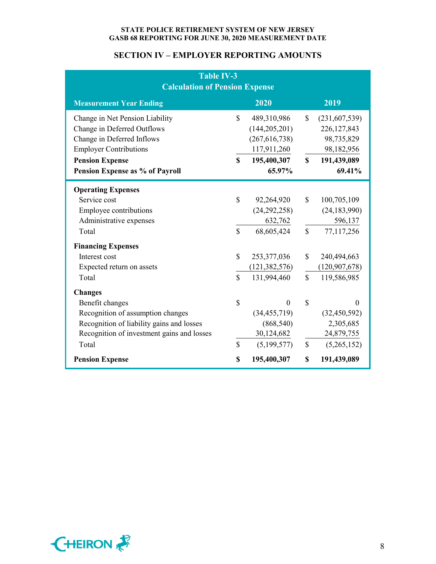# **SECTION IV – EMPLOYER REPORTING AMOUNTS**

| Table IV-3<br><b>Calculation of Pension Expense</b> |                    |                 |                    |                 |  |  |  |
|-----------------------------------------------------|--------------------|-----------------|--------------------|-----------------|--|--|--|
| <b>Measurement Year Ending</b>                      |                    | 2020            |                    | 2019            |  |  |  |
| Change in Net Pension Liability                     | $\mathbf S$        | 489,310,986     | $\mathbf S$        | (231,607,539)   |  |  |  |
| Change in Deferred Outflows                         |                    | (144, 205, 201) |                    | 226, 127, 843   |  |  |  |
| Change in Deferred Inflows                          |                    | (267, 616, 738) |                    | 98,735,829      |  |  |  |
| <b>Employer Contributions</b>                       |                    | 117,911,260     |                    | 98,182,956      |  |  |  |
| <b>Pension Expense</b>                              | $\mathbf S$        | 195,400,307     | $\mathbf S$        | 191,439,089     |  |  |  |
| Pension Expense as % of Payroll                     |                    | 65.97%          |                    | 69.41%          |  |  |  |
| <b>Operating Expenses</b>                           |                    |                 |                    |                 |  |  |  |
| Service cost                                        | $\mathbf S$        | 92,264,920      | $\mathbf S$        | 100,705,109     |  |  |  |
| Employee contributions                              |                    | (24, 292, 258)  |                    | (24, 183, 990)  |  |  |  |
| Administrative expenses                             |                    | 632,762         |                    | 596,137         |  |  |  |
| Total                                               | $\mathbf{\hat{S}}$ | 68,605,424      | $\mathbf S$        | 77,117,256      |  |  |  |
| <b>Financing Expenses</b>                           |                    |                 |                    |                 |  |  |  |
| Interest cost                                       | $\mathbf S$        | 253,377,036     | $\mathbf S$        | 240,494,663     |  |  |  |
| Expected return on assets                           |                    | (121, 382, 576) |                    | (120, 907, 678) |  |  |  |
| Total                                               | $\mathbf{\hat{S}}$ | 131,994,460     | $\mathbf{\hat{S}}$ | 119,586,985     |  |  |  |
| <b>Changes</b>                                      |                    |                 |                    |                 |  |  |  |
| Benefit changes                                     | \$                 | $\Omega$        | $\mathbf S$        | $\theta$        |  |  |  |
| Recognition of assumption changes                   |                    | (34, 455, 719)  |                    | (32, 450, 592)  |  |  |  |
| Recognition of liability gains and losses           |                    | (868, 540)      |                    | 2,305,685       |  |  |  |
| Recognition of investment gains and losses          |                    | 30,124,682      |                    | 24,879,755      |  |  |  |
| Total                                               | $\mathbb{S}$       | (5,199,577)     | \$                 | (5,265,152)     |  |  |  |
| <b>Pension Expense</b>                              | \$                 | 195,400,307     | \$                 | 191,439,089     |  |  |  |

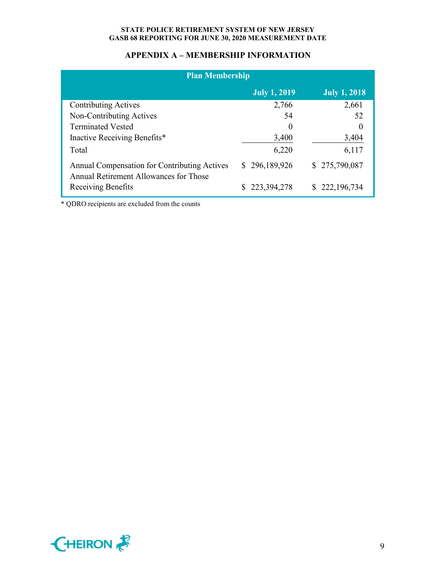# **APPENDIX A – MEMBERSHIP INFORMATION**

| <b>Plan Membership</b>                                                                        |                     |                     |
|-----------------------------------------------------------------------------------------------|---------------------|---------------------|
|                                                                                               | <b>July 1, 2019</b> | <b>July 1, 2018</b> |
| <b>Contributing Actives</b>                                                                   | 2,766               | 2,661               |
| Non-Contributing Actives                                                                      | 54                  | 52                  |
| <b>Terminated Vested</b>                                                                      | $\theta$            | $\theta$            |
| Inactive Receiving Benefits*                                                                  | 3,400               | 3,404               |
| Total                                                                                         | 6,220               | 6,117               |
| <b>Annual Compensation for Contributing Actives</b><br>Annual Retirement Allowances for Those | \$296,189,926       | \$275,790,087       |
| Receiving Benefits                                                                            | \$223,394,278       | \$222,196,734       |

\* QDRO recipients are excluded from the counts

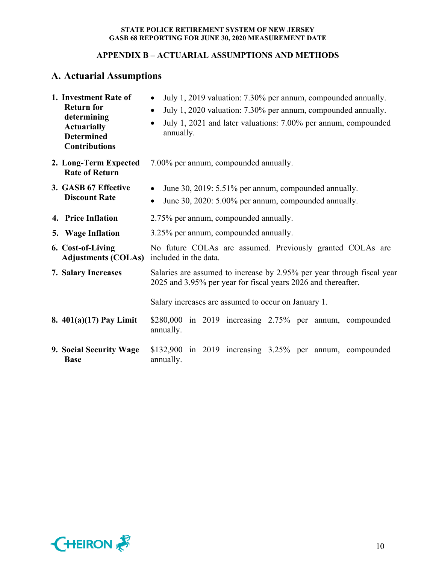# **APPENDIX B – ACTUARIAL ASSUMPTIONS AND METHODS**

# **A. Actuarial Assumptions**

| 1. Investment Rate of<br><b>Return for</b><br>determining<br><b>Actuarially</b><br><b>Determined</b><br><b>Contributions</b> | July 1, 2019 valuation: 7.30% per annum, compounded annually.<br>$\bullet$<br>July 1, 2020 valuation: 7.30% per annum, compounded annually.<br>$\bullet$<br>July 1, 2021 and later valuations: 7.00% per annum, compounded<br>annually. |  |  |  |  |  |  |  |  |  |  |
|------------------------------------------------------------------------------------------------------------------------------|-----------------------------------------------------------------------------------------------------------------------------------------------------------------------------------------------------------------------------------------|--|--|--|--|--|--|--|--|--|--|
| 2. Long-Term Expected<br><b>Rate of Return</b>                                                                               | 7.00% per annum, compounded annually.                                                                                                                                                                                                   |  |  |  |  |  |  |  |  |  |  |
| 3. GASB 67 Effective<br><b>Discount Rate</b>                                                                                 | June 30, 2019: 5.51% per annum, compounded annually.<br>June 30, 2020: 5.00% per annum, compounded annually.<br>$\bullet$                                                                                                               |  |  |  |  |  |  |  |  |  |  |
| 4. Price Inflation                                                                                                           | 2.75% per annum, compounded annually.                                                                                                                                                                                                   |  |  |  |  |  |  |  |  |  |  |
| 5. Wage Inflation                                                                                                            | 3.25% per annum, compounded annually.                                                                                                                                                                                                   |  |  |  |  |  |  |  |  |  |  |
| 6. Cost-of-Living<br>Adjustments (COLAs) included in the data.                                                               | No future COLAs are assumed. Previously granted COLAs are                                                                                                                                                                               |  |  |  |  |  |  |  |  |  |  |
| <b>7. Salary Increases</b>                                                                                                   | Salaries are assumed to increase by 2.95% per year through fiscal year<br>2025 and 3.95% per year for fiscal years 2026 and thereafter.                                                                                                 |  |  |  |  |  |  |  |  |  |  |
|                                                                                                                              | Salary increases are assumed to occur on January 1.                                                                                                                                                                                     |  |  |  |  |  |  |  |  |  |  |
| 8. $401(a)(17)$ Pay Limit                                                                                                    | \$280,000 in 2019 increasing 2.75% per annum, compounded<br>annually.                                                                                                                                                                   |  |  |  |  |  |  |  |  |  |  |
| 9. Social Security Wage<br><b>Base</b>                                                                                       | $$132,900$ in 2019 increasing 3.25% per annum, compounded<br>annually.                                                                                                                                                                  |  |  |  |  |  |  |  |  |  |  |

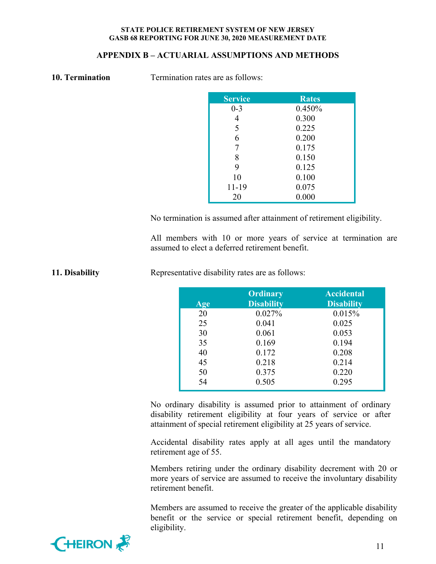# **APPENDIX B – ACTUARIAL ASSUMPTIONS AND METHODS**

|  | 10. Termination |  |
|--|-----------------|--|
|  |                 |  |

**Termination rates are as follows:** 

| <b>Service</b> | <b>Rates</b> |
|----------------|--------------|
| $0 - 3$        | 0.450%       |
| 4              | 0.300        |
| 5              | 0.225        |
| 6              | 0.200        |
| 7              | 0.175        |
| 8              | 0.150        |
| 9              | 0.125        |
| 10             | 0.100        |
| 11-19          | 0.075        |
| 20             | 0.000        |

No termination is assumed after attainment of retirement eligibility.

All members with 10 or more years of service at termination are assumed to elect a deferred retirement benefit.

**11. Disability Representative disability rates are as follows:** 

| Age | Ordinary<br><b>Disability</b> | <b>Accidental</b><br><b>Disability</b> |
|-----|-------------------------------|----------------------------------------|
| 20  | 0.027%                        | 0.015%                                 |
| 25  | 0.041                         | 0.025                                  |
| 30  | 0.061                         | 0.053                                  |
| 35  | 0.169                         | 0.194                                  |
| 40  | 0.172                         | 0.208                                  |
| 45  | 0.218                         | 0.214                                  |
| 50  | 0.375                         | 0.220                                  |
| 54  | 0.505                         | 0.295                                  |

No ordinary disability is assumed prior to attainment of ordinary disability retirement eligibility at four years of service or after attainment of special retirement eligibility at 25 years of service.

Accidental disability rates apply at all ages until the mandatory retirement age of 55.

Members retiring under the ordinary disability decrement with 20 or more years of service are assumed to receive the involuntary disability retirement benefit.

Members are assumed to receive the greater of the applicable disability benefit or the service or special retirement benefit, depending on eligibility.

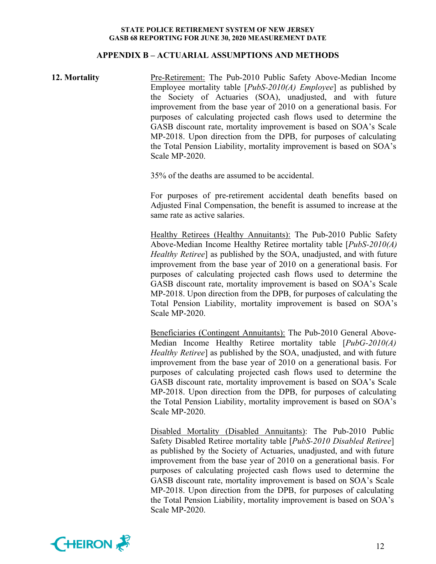### **APPENDIX B – ACTUARIAL ASSUMPTIONS AND METHODS**

# **12. Mortality** Pre-Retirement: The Pub-2010 Public Safety Above-Median Income Employee mortality table [*PubS-2010(A) Employee*] as published by the Society of Actuaries (SOA), unadjusted, and with future improvement from the base year of 2010 on a generational basis. For purposes of calculating projected cash flows used to determine the GASB discount rate, mortality improvement is based on SOA's Scale MP-2018. Upon direction from the DPB, for purposes of calculating the Total Pension Liability, mortality improvement is based on SOA's Scale MP-2020.

35% of the deaths are assumed to be accidental.

For purposes of pre-retirement accidental death benefits based on Adjusted Final Compensation, the benefit is assumed to increase at the same rate as active salaries.

Healthy Retirees (Healthy Annuitants): The Pub-2010 Public Safety Above-Median Income Healthy Retiree mortality table [*PubS-2010(A) Healthy Retiree*] as published by the SOA, unadjusted, and with future improvement from the base year of 2010 on a generational basis. For purposes of calculating projected cash flows used to determine the GASB discount rate, mortality improvement is based on SOA's Scale MP-2018. Upon direction from the DPB, for purposes of calculating the Total Pension Liability, mortality improvement is based on SOA's Scale MP-2020.

Beneficiaries (Contingent Annuitants): The Pub-2010 General Above-Median Income Healthy Retiree mortality table [*PubG-2010(A) Healthy Retiree*] as published by the SOA, unadjusted, and with future improvement from the base year of 2010 on a generational basis. For purposes of calculating projected cash flows used to determine the GASB discount rate, mortality improvement is based on SOA's Scale MP-2018. Upon direction from the DPB, for purposes of calculating the Total Pension Liability, mortality improvement is based on SOA's Scale MP-2020.

Disabled Mortality (Disabled Annuitants): The Pub-2010 Public Safety Disabled Retiree mortality table [*PubS-2010 Disabled Retiree*] as published by the Society of Actuaries, unadjusted, and with future improvement from the base year of 2010 on a generational basis. For purposes of calculating projected cash flows used to determine the GASB discount rate, mortality improvement is based on SOA's Scale MP-2018. Upon direction from the DPB, for purposes of calculating the Total Pension Liability, mortality improvement is based on SOA's Scale MP-2020.

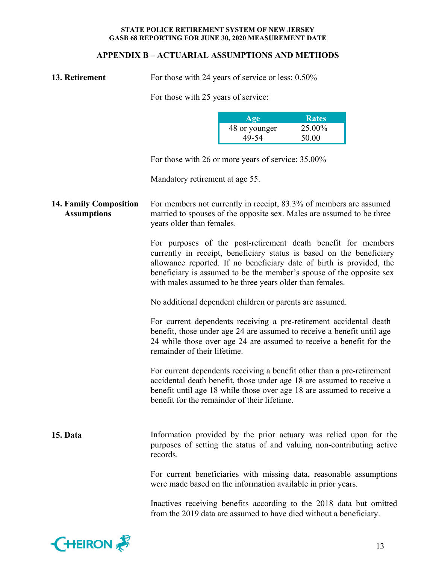# **APPENDIX B – ACTUARIAL ASSUMPTIONS AND METHODS**

| 13. Retirement | F٥ |
|----------------|----|
|                |    |

**13. b. 13. p** is those with 24 years of service or less: 0.50%

For those with 25 years of service:

| Age           | <b>Rates</b> |
|---------------|--------------|
| 48 or younger | 25.00%       |
| 49-54         | 50.00        |

For those with 26 or more years of service: 35.00%

Mandatory retirement at age 55.

**14. Family Composition Assumptions**  For members not currently in receipt, 83.3% of members are assumed married to spouses of the opposite sex. Males are assumed to be three years older than females.

> For purposes of the post-retirement death benefit for members currently in receipt, beneficiary status is based on the beneficiary allowance reported. If no beneficiary date of birth is provided, the beneficiary is assumed to be the member's spouse of the opposite sex with males assumed to be three years older than females.

No additional dependent children or parents are assumed.

For current dependents receiving a pre-retirement accidental death benefit, those under age 24 are assumed to receive a benefit until age 24 while those over age 24 are assumed to receive a benefit for the remainder of their lifetime.

For current dependents receiving a benefit other than a pre-retirement accidental death benefit, those under age 18 are assumed to receive a benefit until age 18 while those over age 18 are assumed to receive a benefit for the remainder of their lifetime.

**15. Data** Information provided by the prior actuary was relied upon for the purposes of setting the status of and valuing non-contributing active records.

> For current beneficiaries with missing data, reasonable assumptions were made based on the information available in prior years.

> Inactives receiving benefits according to the 2018 data but omitted from the 2019 data are assumed to have died without a beneficiary.

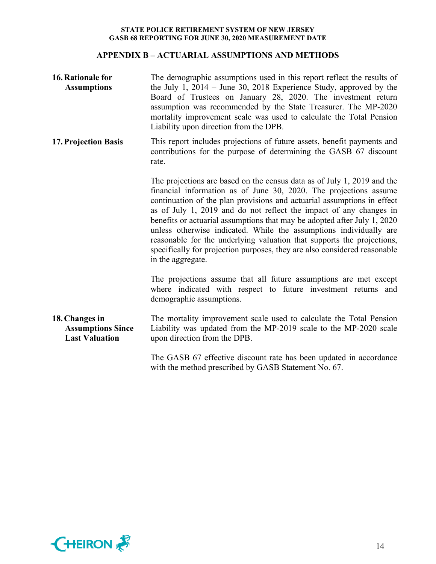# **APPENDIX B – ACTUARIAL ASSUMPTIONS AND METHODS**

| <b>16. Rationale for</b><br><b>Assumptions</b>                      | The demographic assumptions used in this report reflect the results of<br>the July 1, $2014 -$ June 30, 2018 Experience Study, approved by the<br>Board of Trustees on January 28, 2020. The investment return<br>assumption was recommended by the State Treasurer. The MP-2020<br>mortality improvement scale was used to calculate the Total Pension<br>Liability upon direction from the DPB.                                                                                                                                                                                                                           |
|---------------------------------------------------------------------|-----------------------------------------------------------------------------------------------------------------------------------------------------------------------------------------------------------------------------------------------------------------------------------------------------------------------------------------------------------------------------------------------------------------------------------------------------------------------------------------------------------------------------------------------------------------------------------------------------------------------------|
| <b>17. Projection Basis</b>                                         | This report includes projections of future assets, benefit payments and<br>contributions for the purpose of determining the GASB 67 discount<br>rate.                                                                                                                                                                                                                                                                                                                                                                                                                                                                       |
|                                                                     | The projections are based on the census data as of July 1, 2019 and the<br>financial information as of June 30, 2020. The projections assume<br>continuation of the plan provisions and actuarial assumptions in effect<br>as of July 1, 2019 and do not reflect the impact of any changes in<br>benefits or actuarial assumptions that may be adopted after July 1, 2020<br>unless otherwise indicated. While the assumptions individually are<br>reasonable for the underlying valuation that supports the projections,<br>specifically for projection purposes, they are also considered reasonable<br>in the aggregate. |
|                                                                     | The projections assume that all future assumptions are met except<br>where indicated with respect to future investment returns and<br>demographic assumptions.                                                                                                                                                                                                                                                                                                                                                                                                                                                              |
| 18. Changes in<br><b>Assumptions Since</b><br><b>Last Valuation</b> | The mortality improvement scale used to calculate the Total Pension<br>Liability was updated from the MP-2019 scale to the MP-2020 scale<br>upon direction from the DPB.                                                                                                                                                                                                                                                                                                                                                                                                                                                    |
|                                                                     | The GASB 67 effective discount rate has been updated in accordance<br>with the method prescribed by GASB Statement No. 67.                                                                                                                                                                                                                                                                                                                                                                                                                                                                                                  |

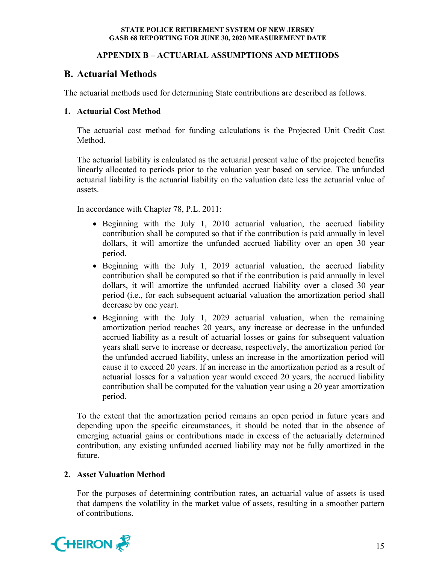# **APPENDIX B – ACTUARIAL ASSUMPTIONS AND METHODS**

# **B. Actuarial Methods**

The actuarial methods used for determining State contributions are described as follows.

# **1. Actuarial Cost Method**

The actuarial cost method for funding calculations is the Projected Unit Credit Cost Method.

The actuarial liability is calculated as the actuarial present value of the projected benefits linearly allocated to periods prior to the valuation year based on service. The unfunded actuarial liability is the actuarial liability on the valuation date less the actuarial value of assets.

In accordance with Chapter 78, P.L. 2011:

- Beginning with the July 1, 2010 actuarial valuation, the accrued liability contribution shall be computed so that if the contribution is paid annually in level dollars, it will amortize the unfunded accrued liability over an open 30 year period.
- Beginning with the July 1, 2019 actuarial valuation, the accrued liability contribution shall be computed so that if the contribution is paid annually in level dollars, it will amortize the unfunded accrued liability over a closed 30 year period (i.e., for each subsequent actuarial valuation the amortization period shall decrease by one year).
- Beginning with the July 1, 2029 actuarial valuation, when the remaining amortization period reaches 20 years, any increase or decrease in the unfunded accrued liability as a result of actuarial losses or gains for subsequent valuation years shall serve to increase or decrease, respectively, the amortization period for the unfunded accrued liability, unless an increase in the amortization period will cause it to exceed 20 years. If an increase in the amortization period as a result of actuarial losses for a valuation year would exceed 20 years, the accrued liability contribution shall be computed for the valuation year using a 20 year amortization period.

To the extent that the amortization period remains an open period in future years and depending upon the specific circumstances, it should be noted that in the absence of emerging actuarial gains or contributions made in excess of the actuarially determined contribution, any existing unfunded accrued liability may not be fully amortized in the future.

# **2. Asset Valuation Method**

For the purposes of determining contribution rates, an actuarial value of assets is used that dampens the volatility in the market value of assets, resulting in a smoother pattern of contributions.

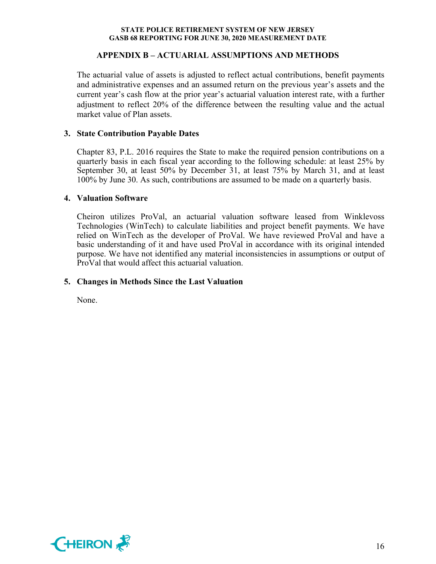# **APPENDIX B – ACTUARIAL ASSUMPTIONS AND METHODS**

The actuarial value of assets is adjusted to reflect actual contributions, benefit payments and administrative expenses and an assumed return on the previous year's assets and the current year's cash flow at the prior year's actuarial valuation interest rate, with a further adjustment to reflect 20% of the difference between the resulting value and the actual market value of Plan assets.

# **3. State Contribution Payable Dates**

Chapter 83, P.L. 2016 requires the State to make the required pension contributions on a quarterly basis in each fiscal year according to the following schedule: at least 25% by September 30, at least 50% by December 31, at least 75% by March 31, and at least 100% by June 30. As such, contributions are assumed to be made on a quarterly basis.

# **4. Valuation Software**

Cheiron utilizes ProVal, an actuarial valuation software leased from Winklevoss Technologies (WinTech) to calculate liabilities and project benefit payments. We have relied on WinTech as the developer of ProVal. We have reviewed ProVal and have a basic understanding of it and have used ProVal in accordance with its original intended purpose. We have not identified any material inconsistencies in assumptions or output of ProVal that would affect this actuarial valuation.

# **5. Changes in Methods Since the Last Valuation**

None.

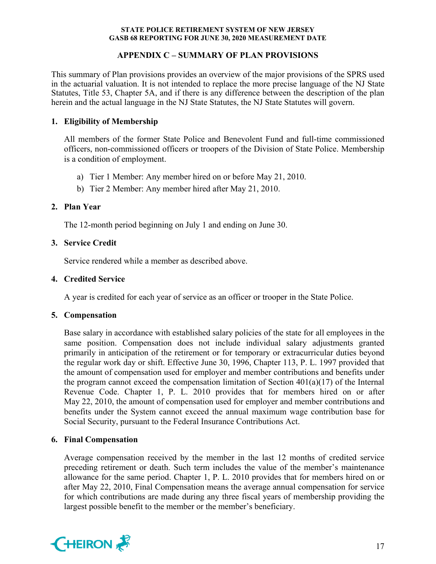# **APPENDIX C – SUMMARY OF PLAN PROVISIONS**

This summary of Plan provisions provides an overview of the major provisions of the SPRS used in the actuarial valuation. It is not intended to replace the more precise language of the NJ State Statutes, Title 53, Chapter 5A, and if there is any difference between the description of the plan herein and the actual language in the NJ State Statutes, the NJ State Statutes will govern.

# **1. Eligibility of Membership**

All members of the former State Police and Benevolent Fund and full-time commissioned officers, non-commissioned officers or troopers of the Division of State Police. Membership is a condition of employment.

- a) Tier 1 Member: Any member hired on or before May 21, 2010.
- b) Tier 2 Member: Any member hired after May 21, 2010.

# **2. Plan Year**

The 12-month period beginning on July 1 and ending on June 30.

# **3. Service Credit**

Service rendered while a member as described above.

# **4. Credited Service**

A year is credited for each year of service as an officer or trooper in the State Police.

# **5. Compensation**

Base salary in accordance with established salary policies of the state for all employees in the same position. Compensation does not include individual salary adjustments granted primarily in anticipation of the retirement or for temporary or extracurricular duties beyond the regular work day or shift. Effective June 30, 1996, Chapter 113, P. L. 1997 provided that the amount of compensation used for employer and member contributions and benefits under the program cannot exceed the compensation limitation of Section  $401(a)(17)$  of the Internal Revenue Code. Chapter 1, P. L. 2010 provides that for members hired on or after May 22, 2010, the amount of compensation used for employer and member contributions and benefits under the System cannot exceed the annual maximum wage contribution base for Social Security, pursuant to the Federal Insurance Contributions Act.

# **6. Final Compensation**

Average compensation received by the member in the last 12 months of credited service preceding retirement or death. Such term includes the value of the member's maintenance allowance for the same period. Chapter 1, P. L. 2010 provides that for members hired on or after May 22, 2010, Final Compensation means the average annual compensation for service for which contributions are made during any three fiscal years of membership providing the largest possible benefit to the member or the member's beneficiary.

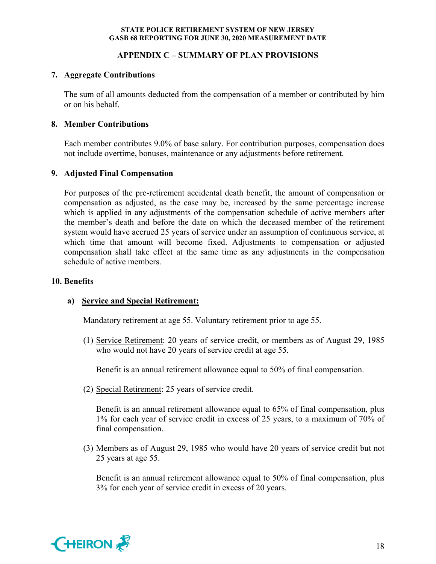# **APPENDIX C – SUMMARY OF PLAN PROVISIONS**

# **7. Aggregate Contributions**

The sum of all amounts deducted from the compensation of a member or contributed by him or on his behalf.

# **8. Member Contributions**

Each member contributes 9.0% of base salary. For contribution purposes, compensation does not include overtime, bonuses, maintenance or any adjustments before retirement.

# **9. Adjusted Final Compensation**

For purposes of the pre-retirement accidental death benefit, the amount of compensation or compensation as adjusted, as the case may be, increased by the same percentage increase which is applied in any adjustments of the compensation schedule of active members after the member's death and before the date on which the deceased member of the retirement system would have accrued 25 years of service under an assumption of continuous service, at which time that amount will become fixed. Adjustments to compensation or adjusted compensation shall take effect at the same time as any adjustments in the compensation schedule of active members.

# **10. Benefits**

# **a) Service and Special Retirement:**

Mandatory retirement at age 55. Voluntary retirement prior to age 55.

(1) Service Retirement: 20 years of service credit, or members as of August 29, 1985 who would not have 20 years of service credit at age 55.

Benefit is an annual retirement allowance equal to 50% of final compensation.

(2) Special Retirement: 25 years of service credit.

Benefit is an annual retirement allowance equal to 65% of final compensation, plus 1% for each year of service credit in excess of 25 years, to a maximum of 70% of final compensation.

(3) Members as of August 29, 1985 who would have 20 years of service credit but not 25 years at age 55.

Benefit is an annual retirement allowance equal to 50% of final compensation, plus 3% for each year of service credit in excess of 20 years.

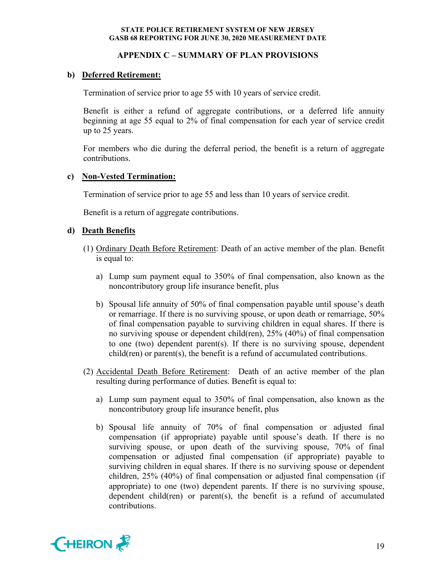# **APPENDIX C – SUMMARY OF PLAN PROVISIONS**

# **b) Deferred Retirement:**

Termination of service prior to age 55 with 10 years of service credit.

Benefit is either a refund of aggregate contributions, or a deferred life annuity beginning at age 55 equal to 2% of final compensation for each year of service credit up to 25 years.

For members who die during the deferral period, the benefit is a return of aggregate contributions.

# **c) Non-Vested Termination:**

Termination of service prior to age 55 and less than 10 years of service credit.

Benefit is a return of aggregate contributions.

# **d) Death Benefits**

- (1) Ordinary Death Before Retirement: Death of an active member of the plan. Benefit is equal to:
	- a) Lump sum payment equal to 350% of final compensation, also known as the noncontributory group life insurance benefit, plus
	- b) Spousal life annuity of 50% of final compensation payable until spouse's death or remarriage. If there is no surviving spouse, or upon death or remarriage, 50% of final compensation payable to surviving children in equal shares. If there is no surviving spouse or dependent child(ren), 25% (40%) of final compensation to one (two) dependent parent(s). If there is no surviving spouse, dependent child(ren) or parent(s), the benefit is a refund of accumulated contributions.
- (2) Accidental Death Before Retirement: Death of an active member of the plan resulting during performance of duties. Benefit is equal to:
	- a) Lump sum payment equal to 350% of final compensation, also known as the noncontributory group life insurance benefit, plus
	- b) Spousal life annuity of 70% of final compensation or adjusted final compensation (if appropriate) payable until spouse's death. If there is no surviving spouse, or upon death of the surviving spouse, 70% of final compensation or adjusted final compensation (if appropriate) payable to surviving children in equal shares. If there is no surviving spouse or dependent children, 25% (40%) of final compensation or adjusted final compensation (if appropriate) to one (two) dependent parents. If there is no surviving spouse, dependent child(ren) or parent(s), the benefit is a refund of accumulated contributions.

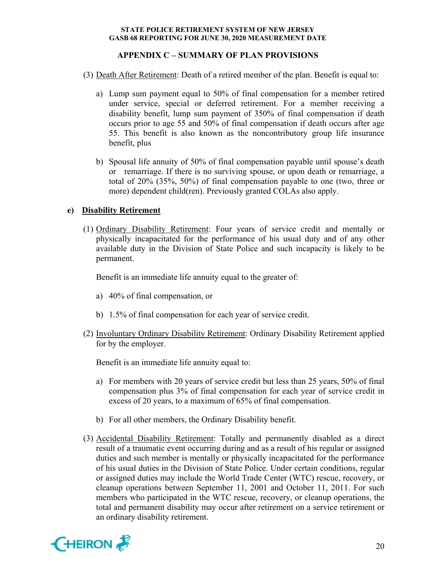# **APPENDIX C – SUMMARY OF PLAN PROVISIONS**

- (3) Death After Retirement: Death of a retired member of the plan. Benefit is equal to:
	- a) Lump sum payment equal to 50% of final compensation for a member retired under service, special or deferred retirement. For a member receiving a disability benefit, lump sum payment of 350% of final compensation if death occurs prior to age 55 and 50% of final compensation if death occurs after age 55. This benefit is also known as the noncontributory group life insurance benefit, plus
	- b) Spousal life annuity of 50% of final compensation payable until spouse's death or remarriage. If there is no surviving spouse, or upon death or remarriage, a total of 20% (35%, 50%) of final compensation payable to one (two, three or more) dependent child(ren). Previously granted COLAs also apply.

# **e) Disability Retirement**

(1) Ordinary Disability Retirement: Four years of service credit and mentally or physically incapacitated for the performance of his usual duty and of any other available duty in the Division of State Police and such incapacity is likely to be permanent.

Benefit is an immediate life annuity equal to the greater of:

- a) 40% of final compensation, or
- b) 1.5% of final compensation for each year of service credit.
- (2) Involuntary Ordinary Disability Retirement: Ordinary Disability Retirement applied for by the employer.

Benefit is an immediate life annuity equal to:

- a) For members with 20 years of service credit but less than 25 years, 50% of final compensation plus 3% of final compensation for each year of service credit in excess of 20 years, to a maximum of 65% of final compensation.
- b) For all other members, the Ordinary Disability benefit.
- (3) Accidental Disability Retirement: Totally and permanently disabled as a direct result of a traumatic event occurring during and as a result of his regular or assigned duties and such member is mentally or physically incapacitated for the performance of his usual duties in the Division of State Police. Under certain conditions, regular or assigned duties may include the World Trade Center (WTC) rescue, recovery, or cleanup operations between September 11, 2001 and October 11, 2011. For such members who participated in the WTC rescue, recovery, or cleanup operations, the total and permanent disability may occur after retirement on a service retirement or an ordinary disability retirement.

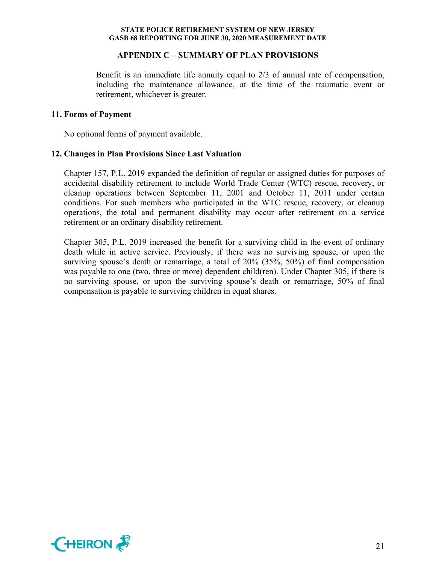### **APPENDIX C – SUMMARY OF PLAN PROVISIONS**

Benefit is an immediate life annuity equal to 2/3 of annual rate of compensation, including the maintenance allowance, at the time of the traumatic event or retirement, whichever is greater.

### **11. Forms of Payment**

No optional forms of payment available.

### **12. Changes in Plan Provisions Since Last Valuation**

Chapter 157, P.L. 2019 expanded the definition of regular or assigned duties for purposes of accidental disability retirement to include World Trade Center (WTC) rescue, recovery, or cleanup operations between September 11, 2001 and October 11, 2011 under certain conditions. For such members who participated in the WTC rescue, recovery, or cleanup operations, the total and permanent disability may occur after retirement on a service retirement or an ordinary disability retirement.

Chapter 305, P.L. 2019 increased the benefit for a surviving child in the event of ordinary death while in active service. Previously, if there was no surviving spouse, or upon the surviving spouse's death or remarriage, a total of 20% (35%, 50%) of final compensation was payable to one (two, three or more) dependent child(ren). Under Chapter 305, if there is no surviving spouse, or upon the surviving spouse's death or remarriage, 50% of final compensation is payable to surviving children in equal shares.

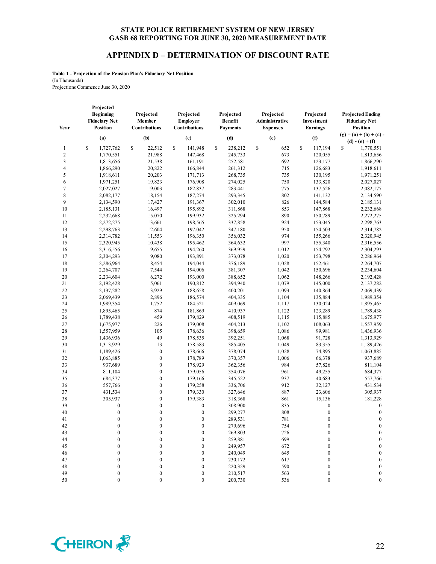# **APPENDIX D – DETERMINATION OF DISCOUNT RATE**

**Table 1 - Projection of the Pension Plan's Fiduciary Net Position** (In Thousands) Projections Commence June 30, 2020

| Year         | Projected<br><b>Beginning</b><br><b>Fiduciary Net</b><br><b>Position</b> | Projected<br>Member<br><b>Contributions</b> | Projected<br><b>Employer</b><br>Contributions | Projected<br><b>Benefit</b><br><b>Payments</b> | Projected<br>Administrative<br><b>Expenses</b> | Projected<br>Investment<br><b>Earnings</b> | <b>Projected Ending</b><br><b>Fiduciary Net</b><br><b>Position</b> |
|--------------|--------------------------------------------------------------------------|---------------------------------------------|-----------------------------------------------|------------------------------------------------|------------------------------------------------|--------------------------------------------|--------------------------------------------------------------------|
|              | (a)                                                                      | (b)                                         | (c)                                           | (d)                                            | (e)                                            | (f)                                        | $(g) = (a) + (b) + (c)$                                            |
|              |                                                                          |                                             |                                               |                                                |                                                |                                            | $(d) - (e) + (f)$                                                  |
| $\mathbf{1}$ | \$<br>1,727,762                                                          | 22,512<br>\$                                | \$<br>141,948                                 | \$<br>238,212                                  | \$<br>652                                      | \$<br>117,194                              | \$<br>1,770,551                                                    |
| $\sqrt{2}$   | 1,770,551                                                                | 21,988                                      | 147,468                                       | 245,733                                        | 673                                            | 120,055                                    | 1,813,656                                                          |
| 3            | 1,813,656                                                                | 21,538                                      | 161,191                                       | 252,581                                        | 692                                            | 123,177                                    | 1,866,290                                                          |
| 4            | 1,866,290                                                                | 20,822                                      | 166,844                                       | 261,312                                        | 715                                            | 126,683                                    | 1,918,611                                                          |
| 5            | 1,918,611                                                                | 20,203                                      | 171,713                                       | 268,735                                        | 735                                            | 130,195                                    | 1,971,251                                                          |
| 6            | 1,971,251                                                                | 19,823                                      | 176,908                                       | 274,025                                        | 750                                            | 133,820                                    | 2,027,027                                                          |
| $\tau$       | 2,027,027                                                                | 19,003                                      | 182,837                                       | 283,441                                        | 775                                            | 137,526                                    | 2,082,177                                                          |
| 8            | 2,082,177                                                                | 18,154                                      | 187,274                                       | 293,345                                        | 802                                            | 141,132                                    | 2,134,590                                                          |
| 9            | 2,134,590                                                                | 17,427                                      | 191,367                                       | 302,010                                        | 826                                            | 144,584                                    | 2,185,131                                                          |
| 10           | 2,185,131                                                                | 16,497                                      | 195,892                                       | 311,868                                        | 853                                            | 147,868                                    | 2,232,668                                                          |
| 11           | 2,232,668                                                                | 15,070                                      | 199,932                                       | 325,294                                        | 890                                            | 150,789                                    | 2,272,275                                                          |
| 12           | 2,272,275                                                                | 13,661                                      | 198,565                                       | 337,858                                        | 924                                            | 153,045                                    | 2,298,763                                                          |
| 13           | 2,298,763                                                                | 12,604                                      | 197,042                                       | 347,180                                        | 950                                            | 154,503                                    | 2,314,782                                                          |
| 14           | 2,314,782                                                                | 11,553                                      | 196,350                                       | 356,032                                        | 974                                            | 155,266                                    | 2,320,945                                                          |
| 15           | 2,320,945                                                                | 10,438                                      | 195,462                                       | 364,632                                        | 997                                            | 155,340                                    | 2,316,556                                                          |
| 16           | 2,316,556                                                                | 9,655                                       | 194,260                                       | 369,959                                        | 1,012                                          | 154,792                                    | 2,304,293                                                          |
| 17           | 2,304,293                                                                | 9,080                                       | 193,891                                       | 373,078                                        | 1,020                                          | 153,798                                    | 2,286,964                                                          |
| 18           | 2,286,964                                                                | 8,454                                       | 194,044                                       | 376.189                                        | 1,028                                          | 152,461                                    | 2,264,707                                                          |
| 19           | 2,264,707                                                                | 7,544                                       | 194,006                                       | 381,307                                        | 1,042                                          | 150,696                                    | 2,234,604                                                          |
| 20           | 2,234,604                                                                | 6,272                                       | 193,000                                       | 388,652                                        | 1,062                                          | 148,266                                    | 2,192,428                                                          |
| 21           | 2,192,428                                                                | 5,061                                       | 190,812                                       | 394,940                                        | 1,079                                          | 145,000                                    | 2,137,282                                                          |
| 22           | 2,137,282                                                                | 3,929                                       | 188,658                                       | 400,201                                        | 1,093                                          | 140,864                                    | 2,069,439                                                          |
| 23           | 2,069,439                                                                | 2,896                                       | 186,574                                       | 404,335                                        | 1,104                                          | 135,884                                    | 1,989,354                                                          |
| 24           | 1,989,354                                                                | 1,752                                       | 184,521                                       | 409,069                                        | 1,117                                          | 130,024                                    | 1,895,465                                                          |
| 25           | 1,895,465                                                                | 874                                         | 181,869                                       | 410,937                                        | 1,122                                          | 123,289                                    | 1,789,438                                                          |
| 26           | 1,789,438                                                                | 459                                         | 179,829                                       | 408,519                                        | 1,115                                          | 115,885                                    | 1,675,977                                                          |
| 27           | 1,675,977                                                                | 226                                         | 179,008                                       | 404,213                                        | 1,102                                          | 108,063                                    | 1,557,959                                                          |
| 28           | 1,557,959                                                                | 105                                         | 178,636                                       | 398,659                                        | 1,086                                          | 99,981                                     | 1,436,936                                                          |
| 29           | 1,436,936                                                                | 49                                          | 178,535                                       | 392,251                                        | 1,068                                          | 91,728                                     | 1,313,929                                                          |
| 30           | 1,313,929                                                                | 13                                          | 178,583                                       | 385,405                                        | 1,049                                          | 83,355                                     | 1,189,426                                                          |
| 31           | 1,189,426                                                                | $\boldsymbol{0}$                            | 178,666                                       | 378,074                                        | 1,028                                          | 74,895                                     | 1,063,885                                                          |
| 32           | 1,063,885                                                                | $\boldsymbol{0}$                            | 178,789                                       | 370,357                                        | 1,006                                          | 66,378                                     | 937,689                                                            |
| 33           | 937,689                                                                  | $\boldsymbol{0}$                            | 178,929                                       | 362,356                                        | 984                                            | 57,826                                     | 811,104                                                            |
| 34           | 811,104                                                                  | $\boldsymbol{0}$                            | 179,056                                       | 354,076                                        | 961                                            | 49,255                                     | 684,377                                                            |
| 35           | 684,377                                                                  | $\overline{0}$                              | 179,166                                       | 345,522                                        | 937                                            | 40,683                                     | 557,766                                                            |
| 36           | 557,766                                                                  | $\boldsymbol{0}$                            | 179,258                                       | 336,706                                        | 912                                            | 32,127                                     | 431,534                                                            |
| 37           | 431,534                                                                  | $\boldsymbol{0}$                            | 179,330                                       | 327,646                                        | 887                                            | 23,606                                     | 305,937                                                            |
| 38           | 305,937                                                                  | $\boldsymbol{0}$                            | 179,383                                       | 318,368                                        | 861                                            | 15,136                                     | 181,228                                                            |
| 39           | $\boldsymbol{0}$                                                         | $\boldsymbol{0}$                            | $\boldsymbol{0}$                              | 308,900                                        | 835                                            | $\boldsymbol{0}$                           | $\boldsymbol{0}$                                                   |
| 40           | $\boldsymbol{0}$                                                         | $\overline{0}$                              | $\boldsymbol{0}$                              | 299,277                                        | 808                                            | $\boldsymbol{0}$                           | $\boldsymbol{0}$                                                   |
| 41           | $\boldsymbol{0}$                                                         | $\boldsymbol{0}$                            | $\boldsymbol{0}$                              | 289,531                                        | 781                                            | $\boldsymbol{0}$                           | $\boldsymbol{0}$                                                   |
| 42           | $\boldsymbol{0}$                                                         | $\boldsymbol{0}$                            | $\boldsymbol{0}$                              | 279,696                                        | 754                                            | $\boldsymbol{0}$                           | $\mathbf{0}$                                                       |
| 43           | $\boldsymbol{0}$                                                         | $\mathbf{0}$                                | $\boldsymbol{0}$                              | 269,803                                        | 726                                            | $\boldsymbol{0}$                           | $\mathbf{0}$                                                       |
| 44           | $\boldsymbol{0}$                                                         | 0                                           | $\mathbf{0}$                                  | 259,881                                        | 699                                            | $\boldsymbol{0}$                           | $\boldsymbol{0}$                                                   |
| 45           | $\mathbf{0}$                                                             | $\theta$                                    | $\mathbf{0}$                                  | 249,957                                        | 672                                            | $\boldsymbol{0}$                           | $\boldsymbol{0}$                                                   |
| 46           | $\overline{0}$                                                           | 0                                           | $\mathbf{0}$                                  | 240,049                                        | 645                                            | $\mathbf{0}$                               | $\boldsymbol{0}$                                                   |
| 47           | $\overline{0}$                                                           | $\theta$                                    | $\mathbf{0}$                                  | 230,172                                        | 617                                            | $\overline{0}$                             | $\boldsymbol{0}$                                                   |
| 48           | $\boldsymbol{0}$                                                         | 0                                           | $\boldsymbol{0}$                              | 220,329                                        | 590                                            | $\boldsymbol{0}$                           | $\boldsymbol{0}$                                                   |
| 49           | $\boldsymbol{0}$                                                         | $\boldsymbol{0}$                            | $\boldsymbol{0}$                              | 210,517                                        | 563                                            | $\boldsymbol{0}$                           | $\boldsymbol{0}$                                                   |
| 50           | $\mathbf{0}$                                                             | $\overline{0}$                              | $\mathbf{0}$                                  | 200,730                                        | 536                                            | $\mathbf{0}$                               | $\overline{0}$                                                     |

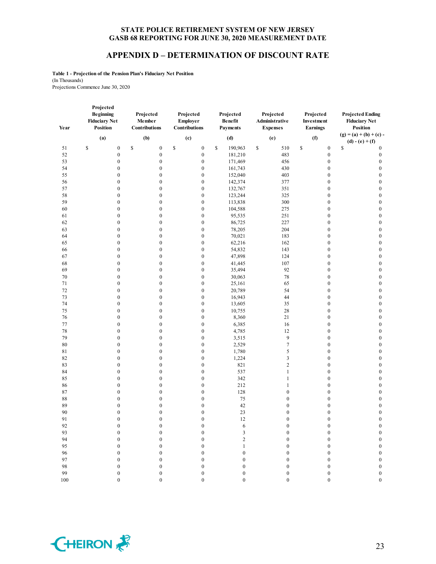### **APPENDIX D – DETERMINATION OF DISCOUNT RATE**

**Table 1 - Projection of the Pension Plan's Fiduciary Net Position** (In Thousands) Projections Commence June 30, 2020

| Year     | Projected<br><b>Beginning</b><br><b>Fiduciary Net</b><br><b>Position</b> | Projected<br>Member<br><b>Contributions</b> | Projected<br><b>Employer</b><br>Contributions | Projected<br><b>Benefit</b><br><b>Payments</b> | Projected<br>Administrative<br><b>Expenses</b> | Projected<br>Investment<br><b>Earnings</b> | <b>Projected Ending</b><br><b>Fiduciary Net</b><br><b>Position</b> |
|----------|--------------------------------------------------------------------------|---------------------------------------------|-----------------------------------------------|------------------------------------------------|------------------------------------------------|--------------------------------------------|--------------------------------------------------------------------|
|          | (a)                                                                      | (b)                                         | (c)                                           | (d)                                            | (e)                                            | (f)                                        | $(g) = (a) + (b) + (c)$                                            |
|          |                                                                          |                                             |                                               |                                                |                                                |                                            | $(d) - (e) + (f)$                                                  |
| 51<br>52 | \$<br>$\boldsymbol{0}$<br>$\boldsymbol{0}$                               | \$<br>$\boldsymbol{0}$<br>$\boldsymbol{0}$  | \$<br>$\boldsymbol{0}$<br>$\boldsymbol{0}$    | $\mathbb S$<br>190,963                         | \$<br>510<br>483                               | \$<br>$\boldsymbol{0}$<br>$\boldsymbol{0}$ | \$<br>$\boldsymbol{0}$<br>$\boldsymbol{0}$                         |
|          |                                                                          |                                             |                                               | 181,210                                        |                                                |                                            | $\mathbf{0}$                                                       |
| 53       | $\boldsymbol{0}$                                                         | $\boldsymbol{0}$                            | $\boldsymbol{0}$                              | 171,469                                        | 456                                            | $\boldsymbol{0}$<br>$\mathbf{0}$           |                                                                    |
| 54       | $\boldsymbol{0}$<br>$\boldsymbol{0}$                                     | $\boldsymbol{0}$<br>$\boldsymbol{0}$        | $\boldsymbol{0}$                              | 161,743                                        | 430<br>403                                     | $\boldsymbol{0}$                           | $\boldsymbol{0}$<br>$\boldsymbol{0}$                               |
| 55       | $\boldsymbol{0}$                                                         | $\boldsymbol{0}$                            | $\boldsymbol{0}$<br>$\boldsymbol{0}$          | 152,040<br>142,374                             | 377                                            | $\boldsymbol{0}$                           | $\boldsymbol{0}$                                                   |
| 56       | $\boldsymbol{0}$                                                         | $\boldsymbol{0}$                            | $\boldsymbol{0}$                              |                                                |                                                | $\boldsymbol{0}$                           | $\boldsymbol{0}$                                                   |
| 57<br>58 | $\boldsymbol{0}$                                                         | $\boldsymbol{0}$                            | $\boldsymbol{0}$                              | 132,767                                        | 351<br>325                                     | $\boldsymbol{0}$                           | $\boldsymbol{0}$                                                   |
| 59       | $\boldsymbol{0}$                                                         | $\boldsymbol{0}$                            | $\boldsymbol{0}$                              | 123,244<br>113,838                             | 300                                            | $\boldsymbol{0}$                           | $\boldsymbol{0}$                                                   |
|          |                                                                          | $\boldsymbol{0}$                            |                                               |                                                |                                                | $\boldsymbol{0}$                           | $\boldsymbol{0}$                                                   |
| 60<br>61 | $\boldsymbol{0}$<br>$\boldsymbol{0}$                                     | $\boldsymbol{0}$                            | $\boldsymbol{0}$<br>$\boldsymbol{0}$          | 104,588<br>95,535                              | 275<br>251                                     | $\boldsymbol{0}$                           | $\boldsymbol{0}$                                                   |
| 62       | $\boldsymbol{0}$                                                         | $\boldsymbol{0}$                            | $\boldsymbol{0}$                              | 86,725                                         | 227                                            | $\mathbf{0}$                               | $\boldsymbol{0}$                                                   |
| 63       | $\boldsymbol{0}$                                                         | $\boldsymbol{0}$                            | $\boldsymbol{0}$                              | 78,205                                         | 204                                            | $\boldsymbol{0}$                           | $\boldsymbol{0}$                                                   |
| 64       | $\boldsymbol{0}$                                                         | $\boldsymbol{0}$                            | $\boldsymbol{0}$                              | 70,021                                         | 183                                            | $\boldsymbol{0}$                           | $\boldsymbol{0}$                                                   |
| 65       | $\boldsymbol{0}$                                                         | $\boldsymbol{0}$                            | $\boldsymbol{0}$                              | 62,216                                         | 162                                            | $\boldsymbol{0}$                           | $\boldsymbol{0}$                                                   |
|          | $\boldsymbol{0}$                                                         | $\overline{0}$                              | $\boldsymbol{0}$                              | 54,832                                         | 143                                            | $\boldsymbol{0}$                           | $\boldsymbol{0}$                                                   |
| 66<br>67 | $\boldsymbol{0}$                                                         | $\boldsymbol{0}$                            | $\boldsymbol{0}$                              | 47,898                                         | 124                                            | $\boldsymbol{0}$                           | $\boldsymbol{0}$                                                   |
| 68       | $\boldsymbol{0}$                                                         | $\mathbf{0}$                                | $\boldsymbol{0}$                              |                                                | 107                                            | $\mathbf{0}$                               | $\mathbf{0}$                                                       |
| 69       | $\boldsymbol{0}$                                                         | $\boldsymbol{0}$                            | $\boldsymbol{0}$                              | 41,445<br>35,494                               | 92                                             | $\boldsymbol{0}$                           | $\boldsymbol{0}$                                                   |
| 70       | $\boldsymbol{0}$                                                         | $\boldsymbol{0}$                            | $\boldsymbol{0}$                              | 30,063                                         | 78                                             | $\boldsymbol{0}$                           | $\boldsymbol{0}$                                                   |
| 71       | $\boldsymbol{0}$                                                         | $\boldsymbol{0}$                            | $\boldsymbol{0}$                              | 25,161                                         | 65                                             | $\boldsymbol{0}$                           | $\boldsymbol{0}$                                                   |
| 72       | $\boldsymbol{0}$                                                         | $\boldsymbol{0}$                            | $\boldsymbol{0}$                              | 20,789                                         | 54                                             | $\boldsymbol{0}$                           | $\boldsymbol{0}$                                                   |
| 73       | $\boldsymbol{0}$                                                         | $\overline{0}$                              | $\boldsymbol{0}$                              | 16,943                                         | 44                                             | $\boldsymbol{0}$                           | $\boldsymbol{0}$                                                   |
| 74       | $\boldsymbol{0}$                                                         | $\boldsymbol{0}$                            | $\boldsymbol{0}$                              | 13,605                                         | 35                                             | $\boldsymbol{0}$                           | $\boldsymbol{0}$                                                   |
| 75       | $\boldsymbol{0}$                                                         | $\boldsymbol{0}$                            | $\boldsymbol{0}$                              | 10,755                                         | 28                                             | $\mathbf{0}$                               | $\boldsymbol{0}$                                                   |
| 76       | $\boldsymbol{0}$                                                         | $\boldsymbol{0}$                            | $\boldsymbol{0}$                              | 8,360                                          | 21                                             | $\boldsymbol{0}$                           | $\boldsymbol{0}$                                                   |
| 77       | $\boldsymbol{0}$                                                         | $\overline{0}$                              | $\boldsymbol{0}$                              | 6,385                                          | 16                                             | $\mathbf{0}$                               | $\mathbf{0}$                                                       |
| 78       | $\boldsymbol{0}$                                                         | $\boldsymbol{0}$                            | $\boldsymbol{0}$                              | 4,785                                          | 12                                             | $\boldsymbol{0}$                           | $\boldsymbol{0}$                                                   |
| 79       | $\boldsymbol{0}$                                                         | $\boldsymbol{0}$                            | $\boldsymbol{0}$                              | 3,515                                          | 9                                              | $\mathbf{0}$                               | $\boldsymbol{0}$                                                   |
| 80       | $\boldsymbol{0}$                                                         | $\boldsymbol{0}$                            | $\boldsymbol{0}$                              | 2,529                                          | $\tau$                                         | $\boldsymbol{0}$                           | $\boldsymbol{0}$                                                   |
| 81       | $\boldsymbol{0}$                                                         | $\boldsymbol{0}$                            | $\boldsymbol{0}$                              | 1,780                                          | 5                                              | $\boldsymbol{0}$                           | $\boldsymbol{0}$                                                   |
| 82       | $\boldsymbol{0}$                                                         | $\boldsymbol{0}$                            | $\boldsymbol{0}$                              | 1,224                                          | 3                                              | $\boldsymbol{0}$                           | $\mathbf{0}$                                                       |
| 83       | $\boldsymbol{0}$                                                         | $\boldsymbol{0}$                            | $\boldsymbol{0}$                              | 821                                            | $\overline{c}$                                 | $\boldsymbol{0}$                           | $\boldsymbol{0}$                                                   |
| 84       | $\boldsymbol{0}$                                                         | $\overline{0}$                              | $\boldsymbol{0}$                              | 537                                            | $\mathbf{1}$                                   | $\boldsymbol{0}$                           | $\boldsymbol{0}$                                                   |
| 85       | $\boldsymbol{0}$                                                         | $\boldsymbol{0}$                            | $\boldsymbol{0}$                              | 342                                            | $\mathbf{1}$                                   | $\boldsymbol{0}$                           | $\boldsymbol{0}$                                                   |
| 86       | $\boldsymbol{0}$                                                         | $\boldsymbol{0}$                            | $\boldsymbol{0}$                              | 212                                            | $\mathbf{1}$                                   | $\boldsymbol{0}$                           | $\boldsymbol{0}$                                                   |
| 87       | $\boldsymbol{0}$                                                         | $\boldsymbol{0}$                            | $\boldsymbol{0}$                              | 128                                            | $\boldsymbol{0}$                               | $\boldsymbol{0}$                           | $\boldsymbol{0}$                                                   |
| 88       | $\boldsymbol{0}$                                                         | $\overline{0}$                              | $\boldsymbol{0}$                              | 75                                             | $\boldsymbol{0}$                               | $\mathbf{0}$                               | $\boldsymbol{0}$                                                   |
| 89       | $\boldsymbol{0}$                                                         | $\boldsymbol{0}$                            | $\boldsymbol{0}$                              | 42                                             | $\boldsymbol{0}$                               | $\boldsymbol{0}$                           | $\boldsymbol{0}$                                                   |
| 90       | $\boldsymbol{0}$                                                         | $\boldsymbol{0}$                            | $\boldsymbol{0}$                              | 23                                             | $\boldsymbol{0}$                               | $\boldsymbol{0}$                           | $\boldsymbol{0}$                                                   |
| 91       | $\boldsymbol{0}$                                                         | $\boldsymbol{0}$                            | $\boldsymbol{0}$                              | 12                                             | $\boldsymbol{0}$                               | $\boldsymbol{0}$                           | $\boldsymbol{0}$                                                   |
| 92       | $\boldsymbol{0}$                                                         | $\boldsymbol{0}$                            | $\boldsymbol{0}$                              | 6                                              | $\boldsymbol{0}$                               | $\boldsymbol{0}$                           | $\boldsymbol{0}$                                                   |
| 93       | $\boldsymbol{0}$                                                         | $\boldsymbol{0}$                            | $\boldsymbol{0}$                              | $\mathfrak{Z}$                                 | $\boldsymbol{0}$                               | $\mathbf{0}$                               | $\boldsymbol{0}$                                                   |
| 94       | $\boldsymbol{0}$                                                         | $\boldsymbol{0}$                            | $\boldsymbol{0}$                              | $\sqrt{2}$                                     | $\boldsymbol{0}$                               | $\boldsymbol{0}$                           | $\boldsymbol{0}$                                                   |
| 95       | $\boldsymbol{0}$                                                         | $\boldsymbol{0}$                            | $\boldsymbol{0}$                              | $\mathbf{1}$                                   | $\boldsymbol{0}$                               | $\boldsymbol{0}$                           | $\boldsymbol{0}$                                                   |
| 96       | $\boldsymbol{0}$                                                         | $\boldsymbol{0}$                            | $\boldsymbol{0}$                              | $\boldsymbol{0}$                               | $\boldsymbol{0}$                               | $\boldsymbol{0}$                           | $\boldsymbol{0}$                                                   |
| 97       | $\boldsymbol{0}$                                                         | $\boldsymbol{0}$                            | $\boldsymbol{0}$                              | $\mathbf{0}$                                   | $\boldsymbol{0}$                               | $\boldsymbol{0}$                           | $\boldsymbol{0}$                                                   |
| 98       | $\boldsymbol{0}$                                                         | $\boldsymbol{0}$                            | $\boldsymbol{0}$                              | $\boldsymbol{0}$                               | $\boldsymbol{0}$                               | $\boldsymbol{0}$                           | $\boldsymbol{0}$                                                   |
| 99       | $\theta$                                                                 | $\theta$                                    | $\theta$                                      | $\theta$                                       | $\theta$                                       | $\theta$                                   | $\mathbf{0}$                                                       |

100 0 0 0 0 0 0 0

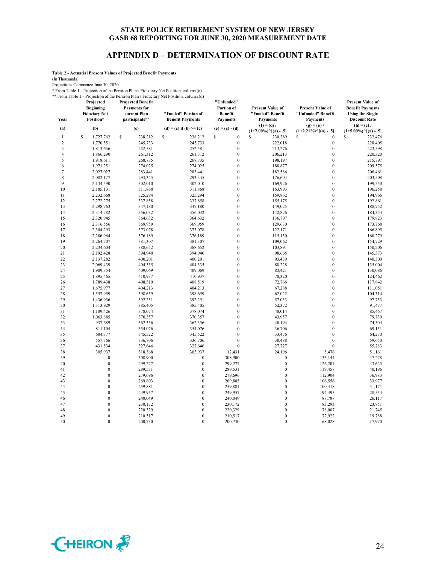# **APPENDIX D – DETERMINATION OF DISCOUNT RATE**

**Table 2 - Actuarial Present Values of Projected Benefit Payments**

(In Thousands)

Projections Commence June 30, 2020

\* From Table 1 - Projection of the Pension Plan's Fiduciary Net Position, column (a)

\*\* From Table 1 - Projection of the Pension Plan's Fiduciary Net Position, column (d) **Projected Projected Benefit** 

| Year           | Projected<br><b>Beginning</b><br><b>Fiduciary Net</b><br>Position* | <b>Projected Benefit</b><br>Payments for<br>current Plan<br>participants** | "Funded" Portion of<br><b>Benefit Payments</b> | "Unfunde d"<br>Portion of<br>Benefit<br>Payments | <b>Present Value of</b><br>"Funded" Benefit<br><b>Payments</b> | <b>Present Value of</b><br>"Unfunded" Benefit<br><b>Payments</b> | <b>Present Value of</b><br><b>Benefit Payments</b><br><b>Using the Single</b><br><b>Discount Rate</b> |
|----------------|--------------------------------------------------------------------|----------------------------------------------------------------------------|------------------------------------------------|--------------------------------------------------|----------------------------------------------------------------|------------------------------------------------------------------|-------------------------------------------------------------------------------------------------------|
| (a)            | (b)                                                                | (c)                                                                        | (d) = (c) if (b) >= (c)                        | $(e) = (c) - (d)$                                | $(f) = (d) /$                                                  | $(g) = (e) /$                                                    | $(h) = (c) /$                                                                                         |
| $\mathbf{1}$   | \$<br>1,727,762                                                    | \$<br>238,212                                                              | \$<br>238,212                                  | \$<br>$\boldsymbol{0}$                           | $(1+7.00\%)$ <sup>^</sup> [(a) - .5]<br>S<br>230,289           | $(1+2.21\%)$ $\cap$ $[(a) - .5]$<br>\$<br>$\boldsymbol{0}$       | $(1+5.00\%)$ $\cap$ [(a) - .5]<br>S<br>232,476                                                        |
| $\overline{c}$ | 1,770,551                                                          | 245,733                                                                    | 245,733                                        | $\boldsymbol{0}$                                 | 222,018                                                        | $\boldsymbol{0}$                                                 | 228,405                                                                                               |
| 3              | 1,813,656                                                          | 252,581                                                                    | 252,581                                        | $\boldsymbol{0}$                                 | 213,276                                                        | $\boldsymbol{0}$                                                 | 223,598                                                                                               |
| 4              | 1,866,290                                                          | 261,312                                                                    | 261,312                                        | $\boldsymbol{0}$                                 | 206,213                                                        | $\bf{0}$                                                         | 220,320                                                                                               |
| 5              | 1,918,611                                                          | 268,735                                                                    | 268,735                                        | $\boldsymbol{0}$                                 | 198,197                                                        | $\bf{0}$                                                         | 215,797                                                                                               |
| 6              | 1,971,251                                                          | 274,025                                                                    | 274,025                                        | $\boldsymbol{0}$                                 | 188,877                                                        | $\bf{0}$                                                         | 209,575                                                                                               |
| $\tau$         | 2,027,027                                                          | 283,441                                                                    | 283,441                                        | $\boldsymbol{0}$                                 | 182,586                                                        | $\bf{0}$                                                         | 206,461                                                                                               |
| 8              | 2,082,177                                                          | 293,345                                                                    | 293,345                                        | $\boldsymbol{0}$                                 | 176,604                                                        | $\boldsymbol{0}$                                                 | 203,508                                                                                               |
| 9              | 2,134,590                                                          | 302,010                                                                    | 302,010                                        | $\boldsymbol{0}$                                 | 169,926                                                        | $\overline{0}$                                                   | 199,550                                                                                               |
| 10             | 2,185,131                                                          | 311,868                                                                    | 311,868                                        | $\boldsymbol{0}$                                 | 163,993                                                        | $\mathbf{0}$                                                     | 196,258                                                                                               |
| 11             | 2,232,668                                                          | 325,294                                                                    | 325,294                                        | $\boldsymbol{0}$                                 | 159,862                                                        | $\boldsymbol{0}$                                                 | 194,966                                                                                               |
| 12             | 2,272,275                                                          | 337,858                                                                    | 337,858                                        | $\boldsymbol{0}$                                 | 155,175                                                        | $\mathbf{0}$                                                     | 192,861                                                                                               |
| 13             | 2,298,763                                                          | 347,180                                                                    | 347,180                                        | $\boldsymbol{0}$                                 | 149,025                                                        | $\mathbf 0$                                                      | 188,752                                                                                               |
| 14             | 2,314,782                                                          | 356,032                                                                    | 356,032                                        | $\boldsymbol{0}$                                 | 142,826                                                        | $\bf{0}$                                                         | 184,354                                                                                               |
| 15             | 2,320,945                                                          | 364,632                                                                    | 364,632                                        | $\boldsymbol{0}$                                 | 136,707                                                        | $\overline{0}$                                                   | 179,823                                                                                               |
| 16             | 2,316,556                                                          | 369,959                                                                    | 369,959                                        | $\boldsymbol{0}$                                 | 129,630                                                        | $\bf{0}$                                                         | 173,768                                                                                               |
| 17             | 2,304,293                                                          | 373,078                                                                    | 373,078                                        | $\boldsymbol{0}$                                 | 122,171                                                        | $\bf{0}$                                                         | 166,895                                                                                               |
| 18             | 2,286,964                                                          | 376,189                                                                    | 376,189                                        | $\boldsymbol{0}$                                 | 115,130                                                        | $\overline{0}$                                                   | 160,279                                                                                               |
| 19             | 2,264,707                                                          | 381,307                                                                    | 381,307                                        | $\boldsymbol{0}$                                 | 109,062                                                        | $\bf{0}$                                                         | 154,729                                                                                               |
| 20             | 2,234,604                                                          | 388,652                                                                    | 388,652                                        | $\boldsymbol{0}$                                 | 103,891                                                        | $\boldsymbol{0}$                                                 | 150,206                                                                                               |
| 21             | 2,192,428                                                          | 394,940                                                                    | 394,940                                        | $\boldsymbol{0}$                                 | 98,665                                                         | $\bf{0}$                                                         | 145,373                                                                                               |
| 22             | 2,137,282                                                          | 400,201                                                                    | 400,201                                        | $\boldsymbol{0}$                                 | 93,439                                                         | $\mathbf{0}$                                                     | 140,300                                                                                               |
| 23             | 2,069,439                                                          | 404,335                                                                    | 404,335                                        | $\boldsymbol{0}$                                 | 88,228                                                         | $\bf{0}$                                                         | 135,004                                                                                               |
| 24             | 1,989,354                                                          | 409,069                                                                    | 409,069                                        | $\boldsymbol{0}$                                 | 83,421                                                         | $\mathbf{0}$                                                     | 130,086                                                                                               |
| 25             | 1,895,465                                                          | 410,937                                                                    | 410,937                                        | $\boldsymbol{0}$                                 | 78,320                                                         | $\mathbf{0}$                                                     | 124,462                                                                                               |
| 26             | 1,789,438                                                          | 408,519                                                                    | 408,519                                        | $\boldsymbol{0}$                                 | 72,766                                                         | $\bf{0}$                                                         | 117,842                                                                                               |
| 27             | 1,675,977                                                          | 404,213                                                                    | 404,213                                        | $\boldsymbol{0}$                                 | 67,288                                                         | $\overline{0}$                                                   | 111,051                                                                                               |
| 28             | 1,557,959                                                          | 398,659                                                                    | 398,659                                        | $\boldsymbol{0}$                                 | 62,022                                                         | $\bf{0}$                                                         | 104,314                                                                                               |
| 29             | 1,436,936                                                          | 392,251                                                                    | 392,251                                        | $\boldsymbol{0}$                                 | 57,033                                                         | $\bf{0}$                                                         | 97,753                                                                                                |
| 30             | 1,313,929                                                          | 385,405                                                                    | 385,405                                        | $\boldsymbol{0}$                                 | 52,372                                                         | $\overline{0}$                                                   | 91,477                                                                                                |
| 31             | 1,189,426                                                          | 378,074                                                                    | 378,074                                        | $\boldsymbol{0}$                                 | 48,014                                                         | $\mathbf{0}$                                                     | 85,467                                                                                                |
| 32             | 1,063,885                                                          | 370,357                                                                    | 370,357                                        | $\boldsymbol{0}$                                 | 43,957                                                         | $\bf{0}$                                                         | 79,739                                                                                                |
| 33             | 937,689                                                            | 362,356                                                                    | 362,356                                        | $\boldsymbol{0}$                                 | 40,194                                                         | $\overline{0}$                                                   | 74,304                                                                                                |
| 34             | 811,104                                                            | 354,076                                                                    | 354,076                                        | $\boldsymbol{0}$                                 | 36,706                                                         | $\mathbf{0}$                                                     | 69,151                                                                                                |
| 35             | 684,377                                                            | 345,522                                                                    | 345,522                                        | $\boldsymbol{0}$                                 | 33,476                                                         | $\bf{0}$                                                         | 64,270                                                                                                |
| 36             | 557,766                                                            | 336,706                                                                    | 336,706                                        | $\boldsymbol{0}$                                 | 30,488                                                         | $\mathbf{0}$                                                     | 59,650                                                                                                |
| 37             | 431,534                                                            | 327,646                                                                    | 327,646                                        | $\boldsymbol{0}$                                 | 27,727                                                         | $\boldsymbol{0}$                                                 | 55,283                                                                                                |
| 38             | 305,937                                                            | 318,368                                                                    | 305,937                                        | 12,431                                           | 24,196                                                         | 5,476                                                            | 51,161                                                                                                |
| 39             | $\bf{0}$                                                           | 308,900                                                                    | $\mathbf{0}$                                   | 308,900                                          | $\mathbf{0}$                                                   | 133,144                                                          | 47,278                                                                                                |
| 40             | $\bf{0}$                                                           | 299,277                                                                    | $\mathbf{0}$                                   | 299,277                                          | $\bf{0}$                                                       | 126,207                                                          | 43,625                                                                                                |
| 41             | $\boldsymbol{0}$                                                   | 289,531                                                                    | $\mathbf{0}$                                   | 289,531                                          | $\boldsymbol{0}$                                               | 119,457                                                          | 40,196                                                                                                |
| 42             | $\bf{0}$                                                           | 279,696                                                                    | $\mathbf{0}$                                   | 279,696                                          | $\mathbf{0}$                                                   | 112,904                                                          | 36,983                                                                                                |
| 43             | $\boldsymbol{0}$                                                   | 269,803                                                                    | $\overline{0}$                                 | 269,803                                          | $\overline{0}$                                                 | 106,556                                                          | 33,977                                                                                                |
| 44             | $\boldsymbol{0}$                                                   | 259,881                                                                    | $\bf{0}$                                       | 259,881                                          | $\bf{0}$                                                       | 100,418                                                          | 31,171                                                                                                |
| 45             | $\bf{0}$                                                           | 249,957                                                                    | $\overline{0}$                                 | 249,957                                          | $\overline{0}$                                                 | 94,495                                                           | 28,554                                                                                                |
| 46             | $\boldsymbol{0}$                                                   | 240,049                                                                    | $\overline{0}$                                 | 240,049                                          | $\overline{0}$                                                 | 88,787                                                           | 26,117                                                                                                |
| 47             | $\bf{0}$                                                           | 230,172                                                                    | $\overline{0}$                                 | 230,172                                          | $\mathbf{0}$                                                   | 83,293                                                           | 23,851                                                                                                |
| 48             | $\bf{0}$                                                           | 220,329                                                                    | $\bf{0}$                                       | 220,329                                          | $\mathbf{0}$                                                   | 78,007                                                           | 21,745                                                                                                |
| 49             | $\bf{0}$                                                           | 210,517                                                                    | $\overline{0}$                                 | 210,517                                          | $\overline{0}$                                                 | 72,922                                                           | 19,788                                                                                                |
| 50             | $\theta$                                                           | 200,730                                                                    | $\theta$                                       | 200,730                                          | $\theta$                                                       | 68,028                                                           | 17,970                                                                                                |

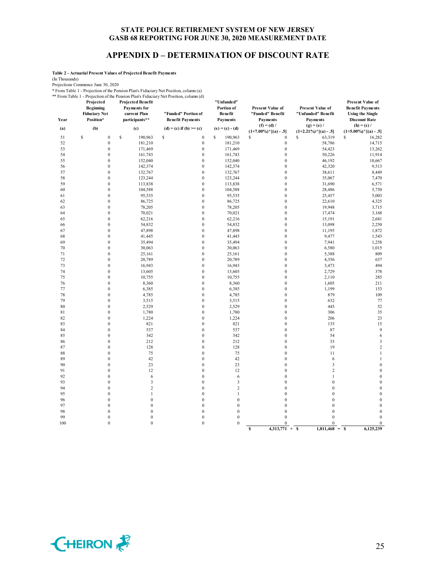# **APPENDIX D – DETERMINATION OF DISCOUNT RATE**

**Table 2 - Actuarial Present Values of Projected Benefit Payments**

(In Thousands)

Projections Commence June 30, 2020

\* From Table 1 - Projection of the Pension Plan's Fiduciary Net Position, column (a)

\*\* From Table 1 - Projection of the Pension Plan's Fiduciary Net Position, column (d) **Projected Projected Benefit** 

| Year     | Projected<br><b>Beginning</b><br><b>Fiduciary Net</b><br>Position* | Projected Benefit<br>Payments for<br>current Plan<br>participants** | "Funded" Portion of<br><b>Benefit Payments</b> | "Unfunded"<br>Portion of<br>Benefit<br><b>Payments</b> | <b>Present Value of</b><br>"Funded" Benefit<br><b>Payments</b><br>$(f) = (d) /$ | Present Value of<br>"Unfunded" Benefit<br><b>Payments</b><br>$(g) = (e) /$ | <b>Present Value of</b><br><b>Benefit Payments</b><br><b>Using the Single</b><br><b>Discount Rate</b><br>$(h) = (c) /$ |
|----------|--------------------------------------------------------------------|---------------------------------------------------------------------|------------------------------------------------|--------------------------------------------------------|---------------------------------------------------------------------------------|----------------------------------------------------------------------------|------------------------------------------------------------------------------------------------------------------------|
| (a)      | (b)                                                                | (c)                                                                 | $(d) = (c)$ if $(b) >= (c)$                    | $(e) = (c) - (d)$                                      | $(1+7.00\%)$ <sup>^</sup> [(a) - .5]                                            | $(1+2.21\%)$ <sup>^</sup> [(a) - .5]                                       | $(1+5.00\%)$ <sup>^</sup> [(a) - .5]                                                                                   |
| 51       | \$<br>$\boldsymbol{0}$                                             | $\mathbb{S}$<br>190,963                                             | \$<br>$\boldsymbol{0}$                         | \$<br>190,963                                          | \$<br>$\boldsymbol{0}$                                                          | \$<br>63,319                                                               | \$<br>16,282                                                                                                           |
| 52       | $\mathbf{0}$                                                       | 181,210                                                             | $\boldsymbol{0}$                               | 181,210                                                | $\boldsymbol{0}$                                                                | 58,786                                                                     | 14,715                                                                                                                 |
| 53       | $\boldsymbol{0}$                                                   | 171,469                                                             | $\boldsymbol{0}$                               | 171,469                                                | $\boldsymbol{0}$                                                                | 54,423                                                                     | 13,262                                                                                                                 |
| 54       | $\boldsymbol{0}$                                                   | 161,743                                                             | $\boldsymbol{0}$                               | 161,743                                                | $\boldsymbol{0}$                                                                | 50,226                                                                     | 11,914                                                                                                                 |
| 55       | $\boldsymbol{0}$                                                   | 152,040                                                             | $\boldsymbol{0}$                               | 152,040                                                | $\boldsymbol{0}$                                                                | 46,192                                                                     | 10,667                                                                                                                 |
| 56       | $\mathbf{0}$                                                       | 142,374                                                             | $\boldsymbol{0}$                               | 142,374                                                | $\boldsymbol{0}$                                                                | 42,320                                                                     | 9,513                                                                                                                  |
| 57       | $\mathbf{0}$                                                       | 132,767                                                             | $\boldsymbol{0}$                               | 132,767                                                | $\boldsymbol{0}$                                                                | 38,611                                                                     | 8,449                                                                                                                  |
| 58       | $\boldsymbol{0}$                                                   | 123,244                                                             | $\boldsymbol{0}$                               | 123,244                                                | $\boldsymbol{0}$                                                                | 35,067                                                                     | 7,470                                                                                                                  |
| 59       | $\mathbf{0}$                                                       | 113,838                                                             | $\boldsymbol{0}$                               | 113,838                                                | $\boldsymbol{0}$                                                                | 31,690                                                                     | 6,571                                                                                                                  |
| 60       | $\mathbf{0}$                                                       | 104,588                                                             | $\boldsymbol{0}$                               | 104,588                                                | $\boldsymbol{0}$                                                                | 28,486                                                                     | 5,750                                                                                                                  |
| 61       | $\boldsymbol{0}$                                                   | 95,535                                                              | $\boldsymbol{0}$                               | 95,535                                                 | $\boldsymbol{0}$                                                                | 25,457                                                                     | 5,003                                                                                                                  |
| 62       | $\mathbf{0}$                                                       | 86,725                                                              | $\boldsymbol{0}$                               | 86,725                                                 | $\boldsymbol{0}$                                                                | 22,610                                                                     | 4,325                                                                                                                  |
| 63       | $\mathbf{0}$                                                       | 78,205                                                              | $\boldsymbol{0}$                               | 78,205                                                 | $\boldsymbol{0}$                                                                | 19,948                                                                     | 3,715                                                                                                                  |
| 64       | $\mathbf{0}$                                                       | 70,021                                                              | $\boldsymbol{0}$                               | 70,021                                                 | $\boldsymbol{0}$                                                                | 17,474                                                                     | 3,168                                                                                                                  |
| 65       | $\boldsymbol{0}$                                                   | 62,216                                                              | $\boldsymbol{0}$                               | 62,216                                                 | $\boldsymbol{0}$                                                                | 15,191                                                                     | 2,681                                                                                                                  |
| 66       | $\mathbf{0}$                                                       | 54,832                                                              | $\boldsymbol{0}$                               | 54,832                                                 | $\boldsymbol{0}$                                                                | 13,098                                                                     | 2,250                                                                                                                  |
| 67       | $\boldsymbol{0}$                                                   | 47,898                                                              | $\boldsymbol{0}$                               | 47,898                                                 | $\boldsymbol{0}$                                                                | 11,195                                                                     | 1,872                                                                                                                  |
| 68       | $\boldsymbol{0}$                                                   | 41,445                                                              | $\boldsymbol{0}$                               | 41,445                                                 | $\boldsymbol{0}$                                                                | 9,477                                                                      | 1,543                                                                                                                  |
| 69       | $\boldsymbol{0}$                                                   | 35,494                                                              | $\boldsymbol{0}$                               | 35,494                                                 | $\boldsymbol{0}$                                                                | 7,941                                                                      | 1,258                                                                                                                  |
| 70       | $\boldsymbol{0}$                                                   | 30,063                                                              | $\boldsymbol{0}$                               | 30,063                                                 | $\boldsymbol{0}$                                                                | 6,580                                                                      | 1,015                                                                                                                  |
| 71<br>72 | $\boldsymbol{0}$<br>$\boldsymbol{0}$                               | 25,161<br>20,789                                                    | $\boldsymbol{0}$<br>$\boldsymbol{0}$           | 25,161<br>20,789                                       | $\boldsymbol{0}$<br>$\boldsymbol{0}$                                            | 5,388                                                                      | 809<br>637                                                                                                             |
| 73       | $\mathbf{0}$                                                       | 16,943                                                              | $\boldsymbol{0}$                               | 16,943                                                 | $\mathbf{0}$                                                                    | 4,356<br>3,473                                                             | 494                                                                                                                    |
| 74       | $\boldsymbol{0}$                                                   | 13,605                                                              | $\boldsymbol{0}$                               | 13,605                                                 | $\boldsymbol{0}$                                                                | 2,729                                                                      | 378                                                                                                                    |
| 75       | $\boldsymbol{0}$                                                   | 10,755                                                              | $\boldsymbol{0}$                               | 10,755                                                 | $\boldsymbol{0}$                                                                | 2,110                                                                      | 285                                                                                                                    |
| 76       | $\boldsymbol{0}$                                                   | 8,360                                                               | $\boldsymbol{0}$                               | 8,360                                                  | $\boldsymbol{0}$                                                                | 1,605                                                                      | 211                                                                                                                    |
| $77 \,$  | $\boldsymbol{0}$                                                   | 6,385                                                               | $\boldsymbol{0}$                               | 6,385                                                  | $\boldsymbol{0}$                                                                | 1,199                                                                      | 153                                                                                                                    |
| 78       | $\boldsymbol{0}$                                                   | 4,785                                                               | $\boldsymbol{0}$                               | 4,785                                                  | $\boldsymbol{0}$                                                                | 879                                                                        | 109                                                                                                                    |
| 79       | $\mathbf{0}$                                                       | 3,515                                                               | $\boldsymbol{0}$                               | 3,515                                                  | $\boldsymbol{0}$                                                                | 632                                                                        | 77                                                                                                                     |
| 80       | $\mathbf{0}$                                                       | 2,529                                                               | $\boldsymbol{0}$                               | 2,529                                                  | $\boldsymbol{0}$                                                                | 445                                                                        | 52                                                                                                                     |
| 81       | $\boldsymbol{0}$                                                   | 1,780                                                               | $\boldsymbol{0}$                               | 1,780                                                  | $\boldsymbol{0}$                                                                | 306                                                                        | 35                                                                                                                     |
| 82       | $\mathbf{0}$                                                       | 1,224                                                               | $\boldsymbol{0}$                               | 1,224                                                  | $\boldsymbol{0}$                                                                | 206                                                                        | 23                                                                                                                     |
| 83       | $\mathbf{0}$                                                       | 821                                                                 | $\boldsymbol{0}$                               | 821                                                    | $\boldsymbol{0}$                                                                | 135                                                                        | 15                                                                                                                     |
| 84       | $\mathbf{0}$                                                       | 537                                                                 | $\boldsymbol{0}$                               | 537                                                    | $\boldsymbol{0}$                                                                | 87                                                                         | 9                                                                                                                      |
| 85       | $\mathbf{0}$                                                       | 342                                                                 | $\boldsymbol{0}$                               | 342                                                    | $\boldsymbol{0}$                                                                | 54                                                                         | 6                                                                                                                      |
| 86       | $\boldsymbol{0}$                                                   | 212                                                                 | $\boldsymbol{0}$                               | 212                                                    | $\boldsymbol{0}$                                                                | 33                                                                         | 3                                                                                                                      |
| 87       | $\boldsymbol{0}$                                                   | 128                                                                 | $\boldsymbol{0}$                               | 128                                                    | $\boldsymbol{0}$                                                                | 19                                                                         | $\overline{2}$                                                                                                         |
| 88       | $\mathbf{0}$                                                       | 75                                                                  | $\boldsymbol{0}$                               | 75                                                     | $\boldsymbol{0}$                                                                | 11                                                                         | $\mathbf{1}$                                                                                                           |
| 89       | $\mathbf{0}$                                                       | 42                                                                  | $\boldsymbol{0}$                               | 42                                                     | $\boldsymbol{0}$                                                                | 6                                                                          | $\mathbf{1}$                                                                                                           |
| 90       | $\mathbf{0}$                                                       | 23                                                                  | $\boldsymbol{0}$                               | 23                                                     | $\boldsymbol{0}$                                                                | $\mathfrak{Z}$                                                             | $\theta$                                                                                                               |
| 91       | $\mathbf{0}$                                                       | 12                                                                  | $\boldsymbol{0}$                               | 12                                                     | $\boldsymbol{0}$                                                                | $\overline{c}$                                                             | $\theta$                                                                                                               |
| 92       | $\mathbf{0}$                                                       | 6                                                                   | $\boldsymbol{0}$                               | 6                                                      | $\boldsymbol{0}$                                                                | $\mathbf{1}$                                                               | $\theta$                                                                                                               |
| 93       | $\mathbf{0}$                                                       | $\mathbf{3}$                                                        | $\boldsymbol{0}$                               | $\mathfrak{Z}$                                         | $\boldsymbol{0}$                                                                | $\bf{0}$                                                                   | $\theta$                                                                                                               |
| 94       | $\boldsymbol{0}$                                                   | $\sqrt{2}$                                                          | $\boldsymbol{0}$                               | $\overline{c}$                                         | $\boldsymbol{0}$                                                                | $\overline{0}$                                                             | $\theta$                                                                                                               |
| 95       | $\mathbf{0}$                                                       | $\mathbf{1}$                                                        | $\boldsymbol{0}$                               | $\mathbf{1}$                                           | $\boldsymbol{0}$                                                                | $\mathbf{0}$                                                               | $\theta$                                                                                                               |
| 96       | $\mathbf{0}$                                                       | $\boldsymbol{0}$<br>$\boldsymbol{0}$                                | $\boldsymbol{0}$                               | $\bf{0}$                                               | $\boldsymbol{0}$<br>$\boldsymbol{0}$                                            | $\bf{0}$                                                                   | $\theta$<br>$\theta$                                                                                                   |
| 97<br>98 | $\mathbf{0}$<br>$\mathbf{0}$                                       | $\boldsymbol{0}$                                                    | $\boldsymbol{0}$<br>$\boldsymbol{0}$           | $\bf{0}$<br>$\bf{0}$                                   | $\boldsymbol{0}$                                                                | $\bf{0}$<br>$\mathbf{0}$                                                   | $\theta$                                                                                                               |
| 99       | $\boldsymbol{0}$                                                   | $\boldsymbol{0}$                                                    | $\boldsymbol{0}$                               | $\boldsymbol{0}$                                       | $\boldsymbol{0}$                                                                | $\boldsymbol{0}$                                                           | $\theta$                                                                                                               |
| 100      | $\boldsymbol{0}$                                                   | $\boldsymbol{0}$                                                    | $\boldsymbol{0}$                               | $\bf{0}$                                               | $\boldsymbol{0}$                                                                | $\boldsymbol{0}$                                                           | $\mathbf{0}$                                                                                                           |
|          |                                                                    |                                                                     |                                                |                                                        | 4,313,771<br>S                                                                  | $\mathbf s$<br>$1,811,468 =$ \$<br>$+$                                     | 6,125,239                                                                                                              |

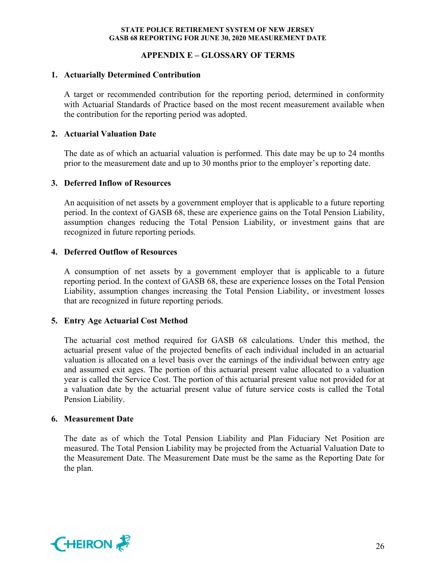# **APPENDIX E – GLOSSARY OF TERMS**

# **1. Actuarially Determined Contribution**

A target or recommended contribution for the reporting period, determined in conformity with Actuarial Standards of Practice based on the most recent measurement available when the contribution for the reporting period was adopted.

# **2. Actuarial Valuation Date**

The date as of which an actuarial valuation is performed. This date may be up to 24 months prior to the measurement date and up to 30 months prior to the employer's reporting date.

### **3. Deferred Inflow of Resources**

An acquisition of net assets by a government employer that is applicable to a future reporting period. In the context of GASB 68, these are experience gains on the Total Pension Liability, assumption changes reducing the Total Pension Liability, or investment gains that are recognized in future reporting periods.

# **4. Deferred Outflow of Resources**

A consumption of net assets by a government employer that is applicable to a future reporting period. In the context of GASB 68, these are experience losses on the Total Pension Liability, assumption changes increasing the Total Pension Liability, or investment losses that are recognized in future reporting periods.

# **5. Entry Age Actuarial Cost Method**

The actuarial cost method required for GASB 68 calculations. Under this method, the actuarial present value of the projected benefits of each individual included in an actuarial valuation is allocated on a level basis over the earnings of the individual between entry age and assumed exit ages. The portion of this actuarial present value allocated to a valuation year is called the Service Cost. The portion of this actuarial present value not provided for at a valuation date by the actuarial present value of future service costs is called the Total Pension Liability.

# **6. Measurement Date**

The date as of which the Total Pension Liability and Plan Fiduciary Net Position are measured. The Total Pension Liability may be projected from the Actuarial Valuation Date to the Measurement Date. The Measurement Date must be the same as the Reporting Date for the plan.